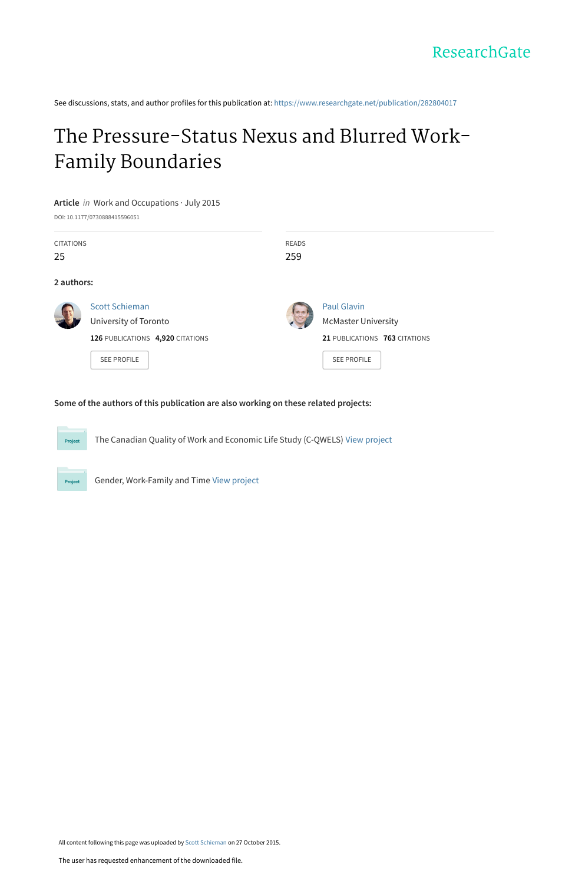See discussions, stats, and author profiles for this publication at: [https://www.researchgate.net/publication/282804017](https://www.researchgate.net/publication/282804017_The_Pressure-Status_Nexus_and_Blurred_Work-Family_Boundaries?enrichId=rgreq-27e71bab8f51608f524d6f0a0ed2c5b6-XXX&enrichSource=Y292ZXJQYWdlOzI4MjgwNDAxNztBUzoyODg5Nzg2NTQ3NzczNDVAMTQ0NTkwOTI4ODQxNw%3D%3D&el=1_x_2&_esc=publicationCoverPdf)

# [The Pressure-Status Nexus and Blurred Work-](https://www.researchgate.net/publication/282804017_The_Pressure-Status_Nexus_and_Blurred_Work-Family_Boundaries?enrichId=rgreq-27e71bab8f51608f524d6f0a0ed2c5b6-XXX&enrichSource=Y292ZXJQYWdlOzI4MjgwNDAxNztBUzoyODg5Nzg2NTQ3NzczNDVAMTQ0NTkwOTI4ODQxNw%3D%3D&el=1_x_3&_esc=publicationCoverPdf)Family Boundaries

#### **Article** in Work and Occupations · July 2015

DOI: 10.1177/0730888415596051

| <b>CITATIONS</b> |                                  | READS         |                               |
|------------------|----------------------------------|---------------|-------------------------------|
| 25               |                                  | 259           |                               |
| 2 authors:       |                                  |               |                               |
|                  | Scott Schieman                   | <b>Street</b> | Paul Glavin                   |
|                  | University of Toronto            |               | <b>McMaster University</b>    |
|                  | 126 PUBLICATIONS 4,920 CITATIONS |               | 21 PUBLICATIONS 763 CITATIONS |
|                  | <b>SEE PROFILE</b>               |               | <b>SEE PROFILE</b>            |
|                  |                                  |               |                               |

#### **Some of the authors of this publication are also working on these related projects:**



The Canadian Quality of Work and Economic Life Study (C-QWELS) [View project](https://www.researchgate.net/project/The-Canadian-Quality-of-Work-and-Economic-Life-Study-C-QWELS?enrichId=rgreq-27e71bab8f51608f524d6f0a0ed2c5b6-XXX&enrichSource=Y292ZXJQYWdlOzI4MjgwNDAxNztBUzoyODg5Nzg2NTQ3NzczNDVAMTQ0NTkwOTI4ODQxNw%3D%3D&el=1_x_9&_esc=publicationCoverPdf)



Gender, Work-Family and Time [View project](https://www.researchgate.net/project/Gender-Work-Family-and-Time?enrichId=rgreq-27e71bab8f51608f524d6f0a0ed2c5b6-XXX&enrichSource=Y292ZXJQYWdlOzI4MjgwNDAxNztBUzoyODg5Nzg2NTQ3NzczNDVAMTQ0NTkwOTI4ODQxNw%3D%3D&el=1_x_9&_esc=publicationCoverPdf)

All content following this page was uploaded by [Scott Schieman](https://www.researchgate.net/profile/Scott_Schieman?enrichId=rgreq-27e71bab8f51608f524d6f0a0ed2c5b6-XXX&enrichSource=Y292ZXJQYWdlOzI4MjgwNDAxNztBUzoyODg5Nzg2NTQ3NzczNDVAMTQ0NTkwOTI4ODQxNw%3D%3D&el=1_x_10&_esc=publicationCoverPdf) on 27 October 2015.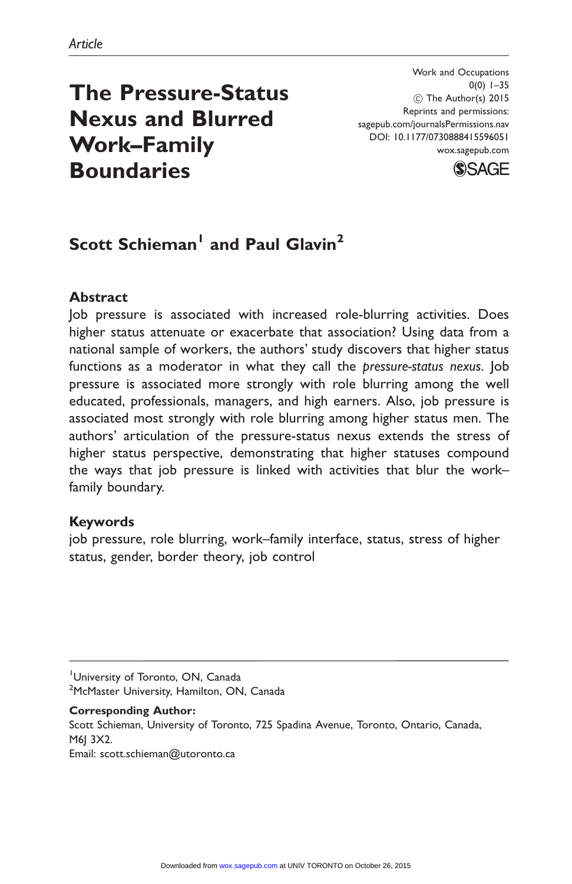# The Pressure-Status Nexus and Blurred Work–Family **Boundaries**

Work and Occupations 0(0) 1–35  $\circledcirc$  The Author(s) 2015 Reprints and permissions: sagepub.com/journalsPermissions.nav DOI: 10.1177/0730888415596051 wox.sagepub.com



# Scott Schieman<sup>1</sup> and Paul Glavin<sup>2</sup>

#### Abstract

Job pressure is associated with increased role-blurring activities. Does higher status attenuate or exacerbate that association? Using data from a national sample of workers, the authors' study discovers that higher status functions as a moderator in what they call the pressure-status nexus. Job pressure is associated more strongly with role blurring among the well educated, professionals, managers, and high earners. Also, job pressure is associated most strongly with role blurring among higher status men. The authors' articulation of the pressure-status nexus extends the stress of higher status perspective, demonstrating that higher statuses compound the ways that job pressure is linked with activities that blur the work– family boundary.

#### Keywords

job pressure, role blurring, work–family interface, status, stress of higher status, gender, border theory, job control

University of Toronto, ON, Canada <sup>2</sup>McMaster University, Hamilton, ON, Canada

Corresponding Author:

Scott Schieman, University of Toronto, 725 Spadina Avenue, Toronto, Ontario, Canada, M6J 3X2.

Email: scott.schieman@utoronto.ca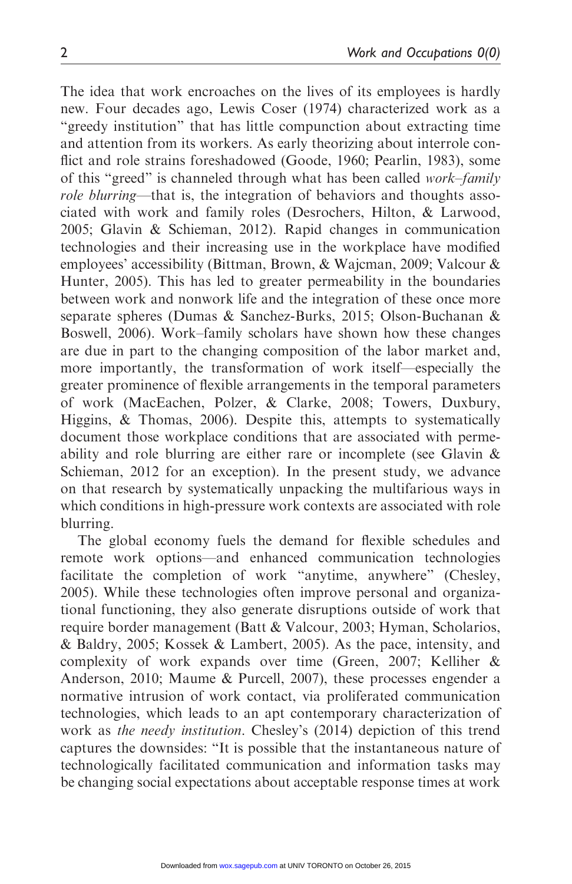The idea that work encroaches on the lives of its employees is hardly new. Four decades ago, Lewis Coser (1974) characterized work as a "greedy institution" that has little compunction about extracting time and attention from its workers. As early theorizing about interrole conflict and role strains foreshadowed (Goode, 1960; Pearlin, 1983), some of this "greed" is channeled through what has been called *work–family* role blurring—that is, the integration of behaviors and thoughts associated with work and family roles (Desrochers, Hilton, & Larwood, 2005; Glavin & Schieman, 2012). Rapid changes in communication technologies and their increasing use in the workplace have modified employees' accessibility (Bittman, Brown, & Wajcman, 2009; Valcour & Hunter, 2005). This has led to greater permeability in the boundaries between work and nonwork life and the integration of these once more separate spheres (Dumas & Sanchez-Burks, 2015; Olson-Buchanan & Boswell, 2006). Work–family scholars have shown how these changes are due in part to the changing composition of the labor market and, more importantly, the transformation of work itself—especially the greater prominence of flexible arrangements in the temporal parameters of work (MacEachen, Polzer, & Clarke, 2008; Towers, Duxbury, Higgins, & Thomas, 2006). Despite this, attempts to systematically document those workplace conditions that are associated with permeability and role blurring are either rare or incomplete (see Glavin & Schieman, 2012 for an exception). In the present study, we advance on that research by systematically unpacking the multifarious ways in which conditions in high-pressure work contexts are associated with role blurring.

The global economy fuels the demand for flexible schedules and remote work options—and enhanced communication technologies facilitate the completion of work "anytime, anywhere" (Chesley, 2005). While these technologies often improve personal and organizational functioning, they also generate disruptions outside of work that require border management (Batt & Valcour, 2003; Hyman, Scholarios, & Baldry, 2005; Kossek & Lambert, 2005). As the pace, intensity, and complexity of work expands over time (Green, 2007; Kelliher & Anderson, 2010; Maume & Purcell, 2007), these processes engender a normative intrusion of work contact, via proliferated communication technologies, which leads to an apt contemporary characterization of work as the needy institution. Chesley's (2014) depiction of this trend captures the downsides: "It is possible that the instantaneous nature of technologically facilitated communication and information tasks may be changing social expectations about acceptable response times at work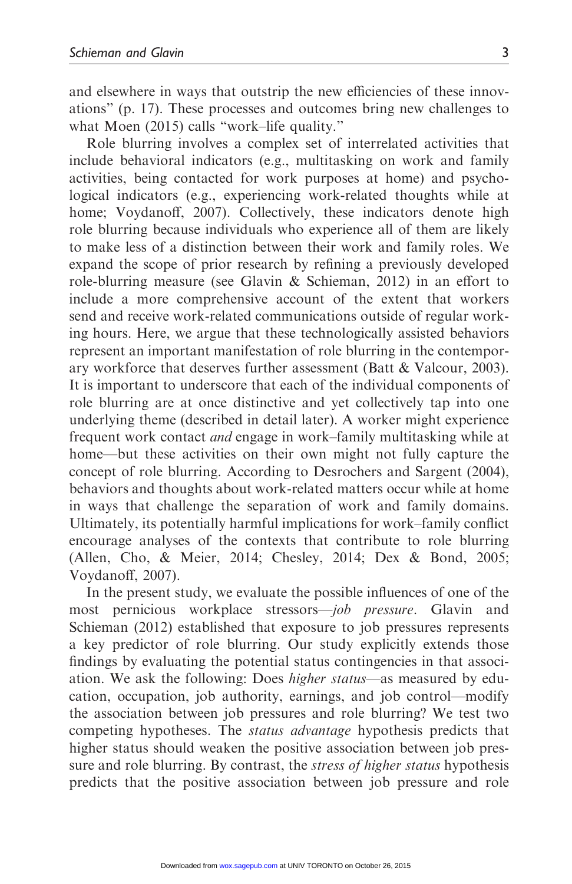and elsewhere in ways that outstrip the new efficiencies of these innovations" (p. 17). These processes and outcomes bring new challenges to what Moen (2015) calls "work–life quality."

Role blurring involves a complex set of interrelated activities that include behavioral indicators (e.g., multitasking on work and family activities, being contacted for work purposes at home) and psychological indicators (e.g., experiencing work-related thoughts while at home; Voydanoff, 2007). Collectively, these indicators denote high role blurring because individuals who experience all of them are likely to make less of a distinction between their work and family roles. We expand the scope of prior research by refining a previously developed role-blurring measure (see Glavin & Schieman, 2012) in an effort to include a more comprehensive account of the extent that workers send and receive work-related communications outside of regular working hours. Here, we argue that these technologically assisted behaviors represent an important manifestation of role blurring in the contemporary workforce that deserves further assessment (Batt & Valcour, 2003). It is important to underscore that each of the individual components of role blurring are at once distinctive and yet collectively tap into one underlying theme (described in detail later). A worker might experience frequent work contact and engage in work–family multitasking while at home—but these activities on their own might not fully capture the concept of role blurring. According to Desrochers and Sargent (2004), behaviors and thoughts about work-related matters occur while at home in ways that challenge the separation of work and family domains. Ultimately, its potentially harmful implications for work–family conflict encourage analyses of the contexts that contribute to role blurring (Allen, Cho, & Meier, 2014; Chesley, 2014; Dex & Bond, 2005; Voydanoff, 2007).

In the present study, we evaluate the possible influences of one of the most pernicious workplace stressors—job pressure. Glavin and Schieman (2012) established that exposure to job pressures represents a key predictor of role blurring. Our study explicitly extends those findings by evaluating the potential status contingencies in that association. We ask the following: Does higher status—as measured by education, occupation, job authority, earnings, and job control—modify the association between job pressures and role blurring? We test two competing hypotheses. The status advantage hypothesis predicts that higher status should weaken the positive association between job pressure and role blurring. By contrast, the *stress of higher status* hypothesis predicts that the positive association between job pressure and role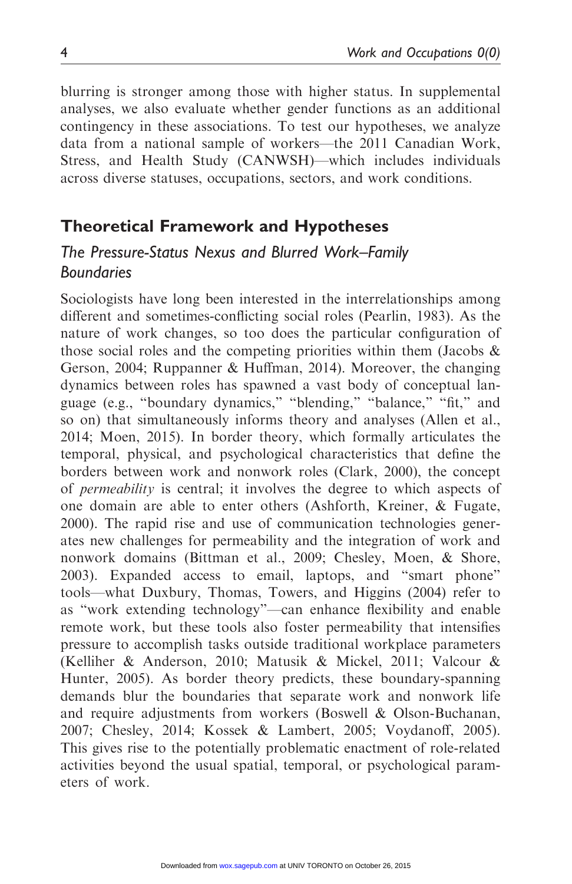blurring is stronger among those with higher status. In supplemental analyses, we also evaluate whether gender functions as an additional contingency in these associations. To test our hypotheses, we analyze data from a national sample of workers—the 2011 Canadian Work, Stress, and Health Study (CANWSH)—which includes individuals across diverse statuses, occupations, sectors, and work conditions.

# Theoretical Framework and Hypotheses

#### The Pressure-Status Nexus and Blurred Work–Family **Boundaries**

Sociologists have long been interested in the interrelationships among different and sometimes-conflicting social roles (Pearlin, 1983). As the nature of work changes, so too does the particular configuration of those social roles and the competing priorities within them (Jacobs  $\&$ Gerson, 2004; Ruppanner & Huffman, 2014). Moreover, the changing dynamics between roles has spawned a vast body of conceptual language (e.g., "boundary dynamics," "blending," "balance," "fit," and so on) that simultaneously informs theory and analyses (Allen et al., 2014; Moen, 2015). In border theory, which formally articulates the temporal, physical, and psychological characteristics that define the borders between work and nonwork roles (Clark, 2000), the concept of permeability is central; it involves the degree to which aspects of one domain are able to enter others (Ashforth, Kreiner, & Fugate, 2000). The rapid rise and use of communication technologies generates new challenges for permeability and the integration of work and nonwork domains (Bittman et al., 2009; Chesley, Moen, & Shore, 2003). Expanded access to email, laptops, and "smart phone" tools—what Duxbury, Thomas, Towers, and Higgins (2004) refer to as "work extending technology"—can enhance flexibility and enable remote work, but these tools also foster permeability that intensifies pressure to accomplish tasks outside traditional workplace parameters (Kelliher & Anderson, 2010; Matusik & Mickel, 2011; Valcour & Hunter, 2005). As border theory predicts, these boundary-spanning demands blur the boundaries that separate work and nonwork life and require adjustments from workers (Boswell & Olson-Buchanan, 2007; Chesley, 2014; Kossek & Lambert, 2005; Voydanoff, 2005). This gives rise to the potentially problematic enactment of role-related activities beyond the usual spatial, temporal, or psychological parameters of work.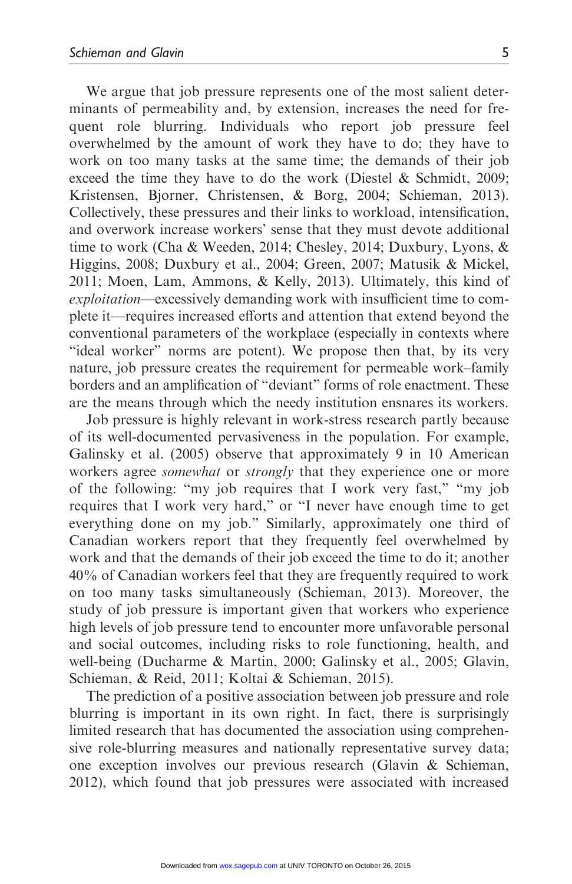We argue that job pressure represents one of the most salient determinants of permeability and, by extension, increases the need for frequent role blurring. Individuals who report job pressure feel overwhelmed by the amount of work they have to do; they have to work on too many tasks at the same time; the demands of their job exceed the time they have to do the work (Diestel & Schmidt, 2009; Kristensen, Bjorner, Christensen, & Borg, 2004; Schieman, 2013). Collectively, these pressures and their links to workload, intensification, and overwork increase workers' sense that they must devote additional time to work (Cha & Weeden, 2014; Chesley, 2014; Duxbury, Lyons, & Higgins, 2008; Duxbury et al., 2004; Green, 2007; Matusik & Mickel, 2011; Moen, Lam, Ammons, & Kelly, 2013). Ultimately, this kind of exploitation—excessively demanding work with insufficient time to complete it—requires increased efforts and attention that extend beyond the conventional parameters of the workplace (especially in contexts where "ideal worker" norms are potent). We propose then that, by its very nature, job pressure creates the requirement for permeable work–family borders and an amplification of "deviant" forms of role enactment. These are the means through which the needy institution ensnares its workers.

Job pressure is highly relevant in work-stress research partly because of its well-documented pervasiveness in the population. For example, Galinsky et al. (2005) observe that approximately 9 in 10 American workers agree *somewhat* or *strongly* that they experience one or more of the following: "my job requires that I work very fast," "my job requires that I work very hard," or "I never have enough time to get everything done on my job." Similarly, approximately one third of Canadian workers report that they frequently feel overwhelmed by work and that the demands of their job exceed the time to do it; another 40% of Canadian workers feel that they are frequently required to work on too many tasks simultaneously (Schieman, 2013). Moreover, the study of job pressure is important given that workers who experience high levels of job pressure tend to encounter more unfavorable personal and social outcomes, including risks to role functioning, health, and well-being (Ducharme & Martin, 2000; Galinsky et al., 2005; Glavin, Schieman, & Reid, 2011; Koltai & Schieman, 2015).

The prediction of a positive association between job pressure and role blurring is important in its own right. In fact, there is surprisingly limited research that has documented the association using comprehensive role-blurring measures and nationally representative survey data; one exception involves our previous research (Glavin & Schieman, 2012), which found that job pressures were associated with increased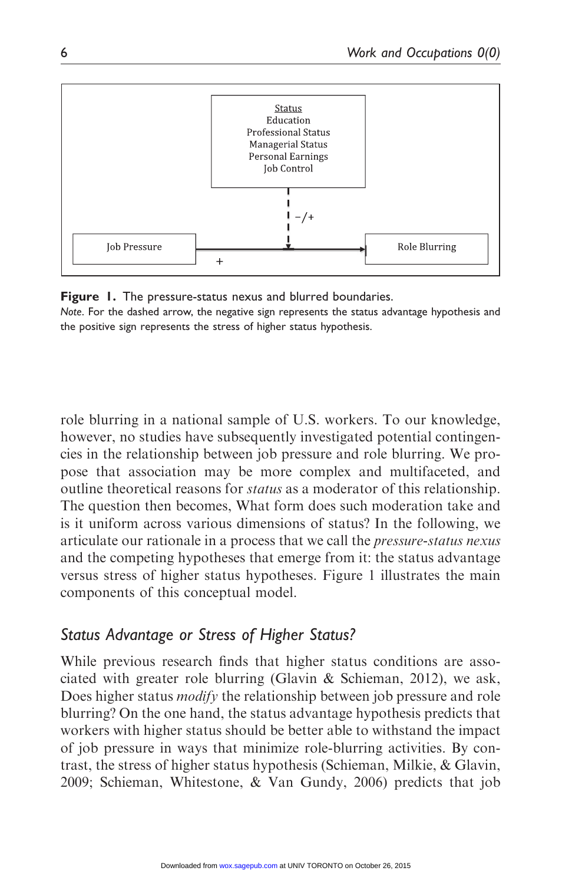

Figure 1. The pressure-status nexus and blurred boundaries. Note. For the dashed arrow, the negative sign represents the status advantage hypothesis and the positive sign represents the stress of higher status hypothesis.

role blurring in a national sample of U.S. workers. To our knowledge, however, no studies have subsequently investigated potential contingencies in the relationship between job pressure and role blurring. We propose that association may be more complex and multifaceted, and outline theoretical reasons for *status* as a moderator of this relationship. The question then becomes, What form does such moderation take and is it uniform across various dimensions of status? In the following, we articulate our rationale in a process that we call the pressure-status nexus and the competing hypotheses that emerge from it: the status advantage versus stress of higher status hypotheses. Figure 1 illustrates the main components of this conceptual model.

#### Status Advantage or Stress of Higher Status?

While previous research finds that higher status conditions are associated with greater role blurring (Glavin & Schieman, 2012), we ask, Does higher status *modify* the relationship between job pressure and role blurring? On the one hand, the status advantage hypothesis predicts that workers with higher status should be better able to withstand the impact of job pressure in ways that minimize role-blurring activities. By contrast, the stress of higher status hypothesis (Schieman, Milkie, & Glavin, 2009; Schieman, Whitestone, & Van Gundy, 2006) predicts that job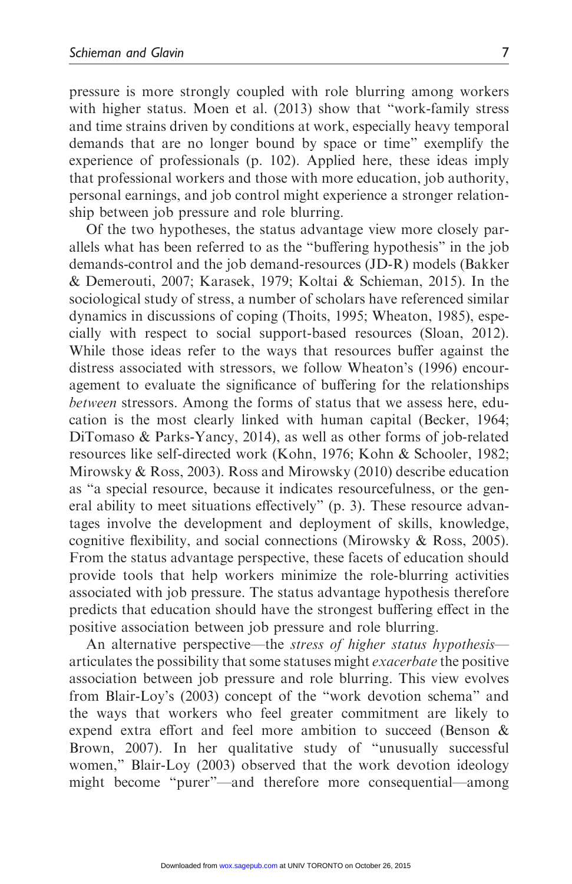pressure is more strongly coupled with role blurring among workers with higher status. Moen et al. (2013) show that "work-family stress and time strains driven by conditions at work, especially heavy temporal demands that are no longer bound by space or time" exemplify the experience of professionals (p. 102). Applied here, these ideas imply that professional workers and those with more education, job authority, personal earnings, and job control might experience a stronger relationship between job pressure and role blurring.

Of the two hypotheses, the status advantage view more closely parallels what has been referred to as the "buffering hypothesis" in the job demands-control and the job demand-resources (JD-R) models (Bakker & Demerouti, 2007; Karasek, 1979; Koltai & Schieman, 2015). In the sociological study of stress, a number of scholars have referenced similar dynamics in discussions of coping (Thoits, 1995; Wheaton, 1985), especially with respect to social support-based resources (Sloan, 2012). While those ideas refer to the ways that resources buffer against the distress associated with stressors, we follow Wheaton's (1996) encouragement to evaluate the significance of buffering for the relationships between stressors. Among the forms of status that we assess here, education is the most clearly linked with human capital (Becker, 1964; DiTomaso & Parks-Yancy, 2014), as well as other forms of job-related resources like self-directed work (Kohn, 1976; Kohn & Schooler, 1982; Mirowsky & Ross, 2003). Ross and Mirowsky (2010) describe education as "a special resource, because it indicates resourcefulness, or the general ability to meet situations effectively" (p. 3). These resource advantages involve the development and deployment of skills, knowledge, cognitive flexibility, and social connections (Mirowsky & Ross, 2005). From the status advantage perspective, these facets of education should provide tools that help workers minimize the role-blurring activities associated with job pressure. The status advantage hypothesis therefore predicts that education should have the strongest buffering effect in the positive association between job pressure and role blurring.

An alternative perspective—the *stress of higher status hypothesis* articulates the possibility that some statuses might exacerbate the positive association between job pressure and role blurring. This view evolves from Blair-Loy's (2003) concept of the "work devotion schema" and the ways that workers who feel greater commitment are likely to expend extra effort and feel more ambition to succeed (Benson & Brown, 2007). In her qualitative study of "unusually successful women," Blair-Loy (2003) observed that the work devotion ideology might become "purer"—and therefore more consequential—among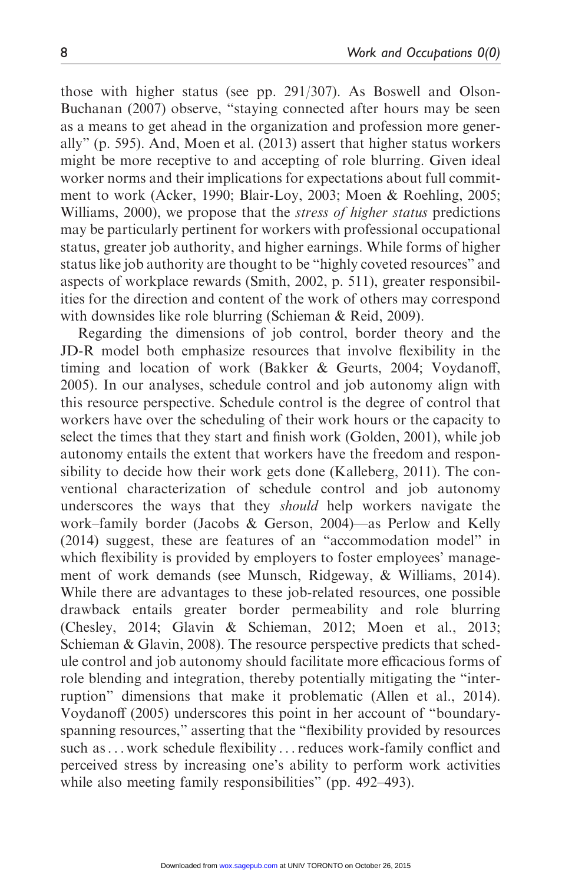those with higher status (see pp. 291/307). As Boswell and Olson-Buchanan (2007) observe, "staying connected after hours may be seen as a means to get ahead in the organization and profession more generally" (p. 595). And, Moen et al. (2013) assert that higher status workers might be more receptive to and accepting of role blurring. Given ideal worker norms and their implications for expectations about full commitment to work (Acker, 1990; Blair-Loy, 2003; Moen & Roehling, 2005; Williams, 2000), we propose that the *stress of higher status* predictions may be particularly pertinent for workers with professional occupational status, greater job authority, and higher earnings. While forms of higher status like job authority are thought to be "highly coveted resources" and aspects of workplace rewards (Smith, 2002, p. 511), greater responsibilities for the direction and content of the work of others may correspond with downsides like role blurring (Schieman & Reid, 2009).

Regarding the dimensions of job control, border theory and the JD-R model both emphasize resources that involve flexibility in the timing and location of work (Bakker & Geurts, 2004; Voydanoff, 2005). In our analyses, schedule control and job autonomy align with this resource perspective. Schedule control is the degree of control that workers have over the scheduling of their work hours or the capacity to select the times that they start and finish work (Golden, 2001), while job autonomy entails the extent that workers have the freedom and responsibility to decide how their work gets done (Kalleberg, 2011). The conventional characterization of schedule control and job autonomy underscores the ways that they should help workers navigate the work–family border (Jacobs & Gerson, 2004)—as Perlow and Kelly (2014) suggest, these are features of an "accommodation model" in which flexibility is provided by employers to foster employees' management of work demands (see Munsch, Ridgeway, & Williams, 2014). While there are advantages to these job-related resources, one possible drawback entails greater border permeability and role blurring (Chesley, 2014; Glavin & Schieman, 2012; Moen et al., 2013; Schieman & Glavin, 2008). The resource perspective predicts that schedule control and job autonomy should facilitate more efficacious forms of role blending and integration, thereby potentially mitigating the "interruption" dimensions that make it problematic (Allen et al., 2014). Voydanoff (2005) underscores this point in her account of "boundaryspanning resources," asserting that the "flexibility provided by resources such as... work schedule flexibility ...reduces work-family conflict and perceived stress by increasing one's ability to perform work activities while also meeting family responsibilities" (pp. 492–493).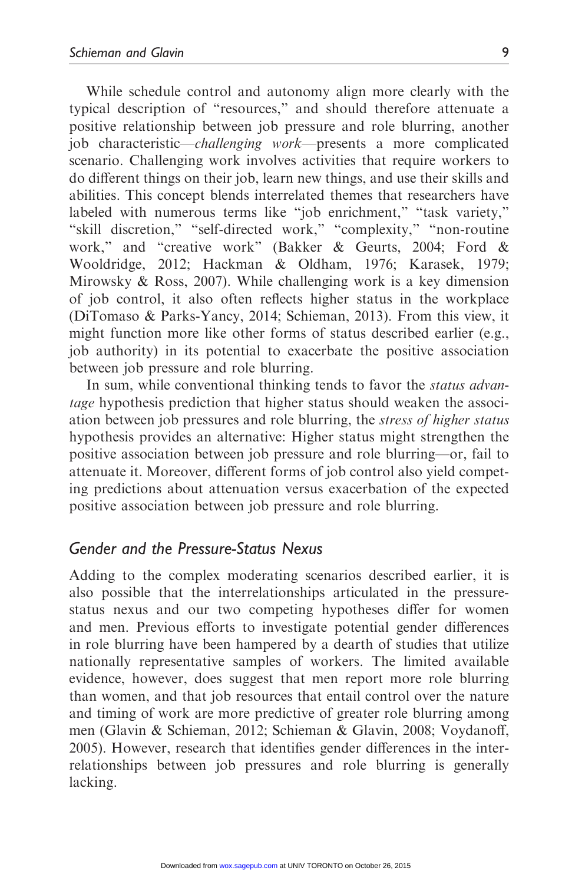While schedule control and autonomy align more clearly with the typical description of "resources," and should therefore attenuate a positive relationship between job pressure and role blurring, another job characteristic—challenging work—presents a more complicated scenario. Challenging work involves activities that require workers to do different things on their job, learn new things, and use their skills and abilities. This concept blends interrelated themes that researchers have labeled with numerous terms like "job enrichment," "task variety," "skill discretion," "self-directed work," "complexity," "non-routine work," and "creative work" (Bakker & Geurts, 2004; Ford & Wooldridge, 2012; Hackman & Oldham, 1976; Karasek, 1979; Mirowsky & Ross, 2007). While challenging work is a key dimension of job control, it also often reflects higher status in the workplace (DiTomaso & Parks-Yancy, 2014; Schieman, 2013). From this view, it might function more like other forms of status described earlier (e.g., job authority) in its potential to exacerbate the positive association between job pressure and role blurring.

In sum, while conventional thinking tends to favor the *status advan*tage hypothesis prediction that higher status should weaken the association between job pressures and role blurring, the stress of higher status hypothesis provides an alternative: Higher status might strengthen the positive association between job pressure and role blurring—or, fail to attenuate it. Moreover, different forms of job control also yield competing predictions about attenuation versus exacerbation of the expected positive association between job pressure and role blurring.

#### Gender and the Pressure-Status Nexus

Adding to the complex moderating scenarios described earlier, it is also possible that the interrelationships articulated in the pressurestatus nexus and our two competing hypotheses differ for women and men. Previous efforts to investigate potential gender differences in role blurring have been hampered by a dearth of studies that utilize nationally representative samples of workers. The limited available evidence, however, does suggest that men report more role blurring than women, and that job resources that entail control over the nature and timing of work are more predictive of greater role blurring among men (Glavin & Schieman, 2012; Schieman & Glavin, 2008; Voydanoff, 2005). However, research that identifies gender differences in the interrelationships between job pressures and role blurring is generally lacking.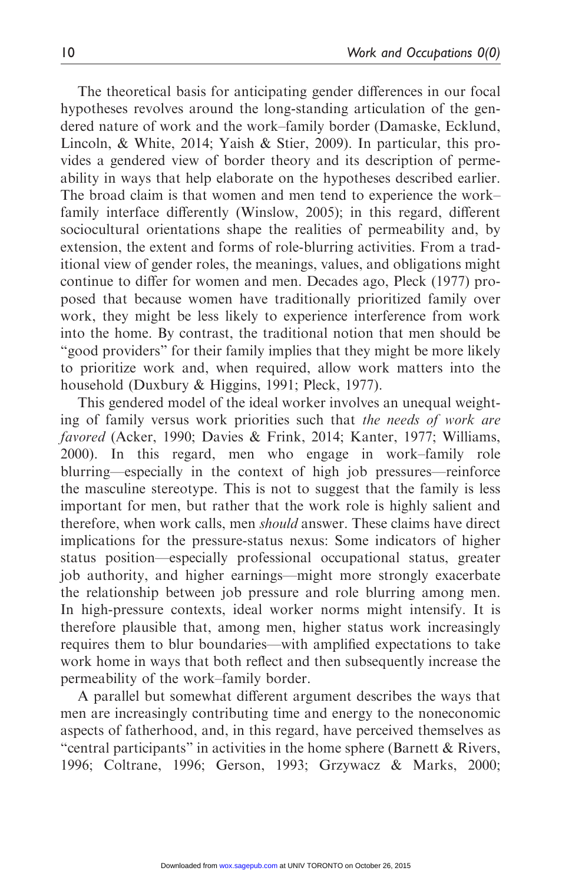The theoretical basis for anticipating gender differences in our focal hypotheses revolves around the long-standing articulation of the gendered nature of work and the work–family border (Damaske, Ecklund, Lincoln, & White, 2014; Yaish & Stier, 2009). In particular, this provides a gendered view of border theory and its description of permeability in ways that help elaborate on the hypotheses described earlier. The broad claim is that women and men tend to experience the work– family interface differently (Winslow, 2005); in this regard, different sociocultural orientations shape the realities of permeability and, by extension, the extent and forms of role-blurring activities. From a traditional view of gender roles, the meanings, values, and obligations might continue to differ for women and men. Decades ago, Pleck (1977) proposed that because women have traditionally prioritized family over work, they might be less likely to experience interference from work into the home. By contrast, the traditional notion that men should be "good providers" for their family implies that they might be more likely to prioritize work and, when required, allow work matters into the household (Duxbury & Higgins, 1991; Pleck, 1977).

This gendered model of the ideal worker involves an unequal weighting of family versus work priorities such that the needs of work are favored (Acker, 1990; Davies & Frink, 2014; Kanter, 1977; Williams, 2000). In this regard, men who engage in work–family role blurring—especially in the context of high job pressures—reinforce the masculine stereotype. This is not to suggest that the family is less important for men, but rather that the work role is highly salient and therefore, when work calls, men should answer. These claims have direct implications for the pressure-status nexus: Some indicators of higher status position—especially professional occupational status, greater job authority, and higher earnings—might more strongly exacerbate the relationship between job pressure and role blurring among men. In high-pressure contexts, ideal worker norms might intensify. It is therefore plausible that, among men, higher status work increasingly requires them to blur boundaries—with amplified expectations to take work home in ways that both reflect and then subsequently increase the permeability of the work–family border.

A parallel but somewhat different argument describes the ways that men are increasingly contributing time and energy to the noneconomic aspects of fatherhood, and, in this regard, have perceived themselves as "central participants" in activities in the home sphere (Barnett & Rivers, 1996; Coltrane, 1996; Gerson, 1993; Grzywacz & Marks, 2000;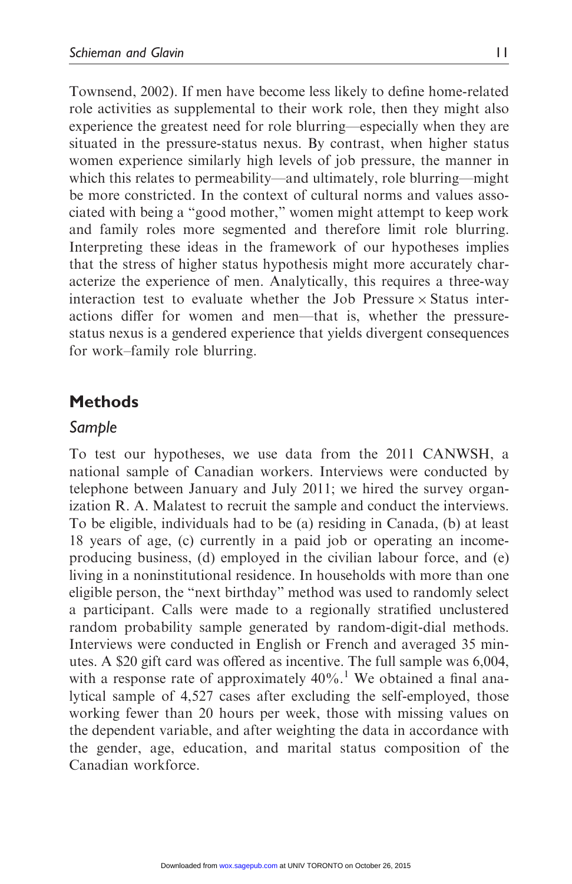Townsend, 2002). If men have become less likely to define home-related role activities as supplemental to their work role, then they might also experience the greatest need for role blurring—especially when they are situated in the pressure-status nexus. By contrast, when higher status women experience similarly high levels of job pressure, the manner in which this relates to permeability—and ultimately, role blurring—might be more constricted. In the context of cultural norms and values associated with being a "good mother," women might attempt to keep work and family roles more segmented and therefore limit role blurring. Interpreting these ideas in the framework of our hypotheses implies that the stress of higher status hypothesis might more accurately characterize the experience of men. Analytically, this requires a three-way interaction test to evaluate whether the Job Pressure  $\times$  Status interactions differ for women and men—that is, whether the pressurestatus nexus is a gendered experience that yields divergent consequences for work–family role blurring.

# Methods

#### Sample

To test our hypotheses, we use data from the 2011 CANWSH, a national sample of Canadian workers. Interviews were conducted by telephone between January and July 2011; we hired the survey organization R. A. Malatest to recruit the sample and conduct the interviews. To be eligible, individuals had to be (a) residing in Canada, (b) at least 18 years of age, (c) currently in a paid job or operating an incomeproducing business, (d) employed in the civilian labour force, and (e) living in a noninstitutional residence. In households with more than one eligible person, the "next birthday" method was used to randomly select a participant. Calls were made to a regionally stratified unclustered random probability sample generated by random-digit-dial methods. Interviews were conducted in English or French and averaged 35 minutes. A \$20 gift card was offered as incentive. The full sample was 6,004, with a response rate of approximately  $40\%$ .<sup>1</sup> We obtained a final analytical sample of 4,527 cases after excluding the self-employed, those working fewer than 20 hours per week, those with missing values on the dependent variable, and after weighting the data in accordance with the gender, age, education, and marital status composition of the Canadian workforce.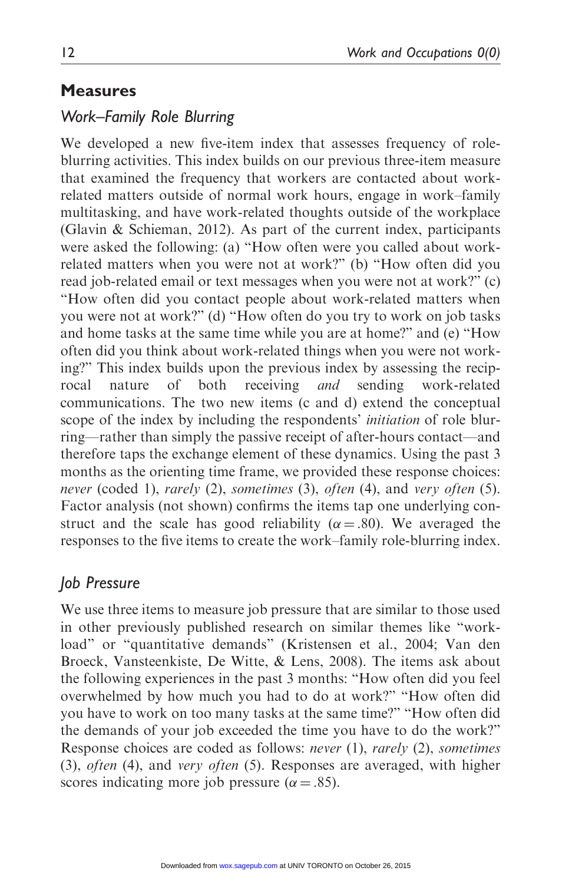# Measures

### Work–Family Role Blurring

We developed a new five-item index that assesses frequency of roleblurring activities. This index builds on our previous three-item measure that examined the frequency that workers are contacted about workrelated matters outside of normal work hours, engage in work–family multitasking, and have work-related thoughts outside of the workplace (Glavin & Schieman, 2012). As part of the current index, participants were asked the following: (a) "How often were you called about workrelated matters when you were not at work?" (b) "How often did you read job-related email or text messages when you were not at work?" (c) "How often did you contact people about work-related matters when you were not at work?" (d) "How often do you try to work on job tasks and home tasks at the same time while you are at home?" and (e) "How often did you think about work-related things when you were not working?" This index builds upon the previous index by assessing the reciprocal nature of both receiving and sending work-related communications. The two new items (c and d) extend the conceptual scope of the index by including the respondents' *initiation* of role blurring—rather than simply the passive receipt of after-hours contact—and therefore taps the exchange element of these dynamics. Using the past 3 months as the orienting time frame, we provided these response choices: never (coded 1), rarely (2), sometimes (3), often (4), and very often (5). Factor analysis (not shown) confirms the items tap one underlying construct and the scale has good reliability ( $\alpha = .80$ ). We averaged the responses to the five items to create the work–family role-blurring index.

# Job Pressure

We use three items to measure job pressure that are similar to those used in other previously published research on similar themes like "workload" or "quantitative demands" (Kristensen et al., 2004; Van den Broeck, Vansteenkiste, De Witte, & Lens, 2008). The items ask about the following experiences in the past 3 months: "How often did you feel overwhelmed by how much you had to do at work?" "How often did you have to work on too many tasks at the same time?" "How often did the demands of your job exceeded the time you have to do the work?" Response choices are coded as follows: never (1), rarely (2), sometimes (3), often (4), and very often (5). Responses are averaged, with higher scores indicating more job pressure ( $\alpha = .85$ ).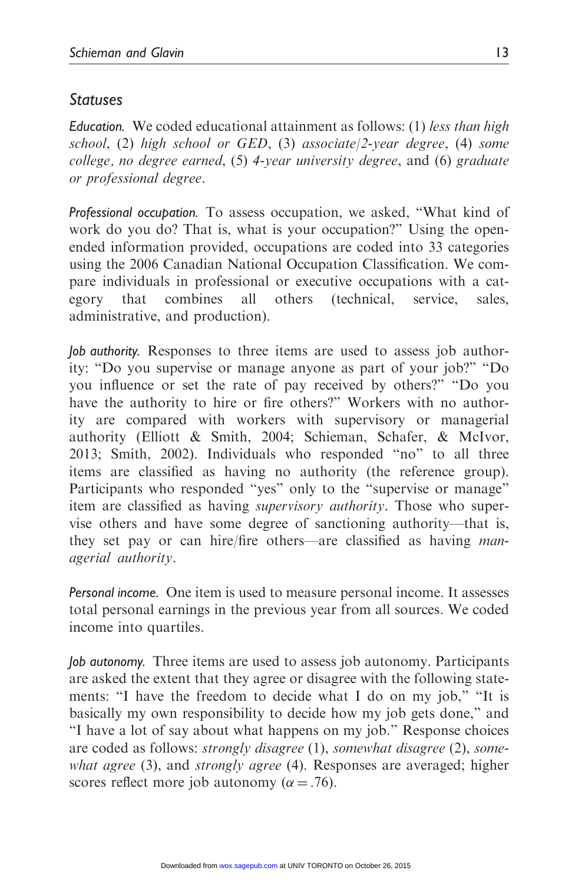### Statuses

Education. We coded educational attainment as follows: (1) less than high school, (2) high school or GED, (3) associate/2-year degree, (4) some college, no degree earned, (5) 4-year university degree, and (6) graduate or professional degree.

Professional occupation. To assess occupation, we asked, "What kind of work do you do? That is, what is your occupation?" Using the openended information provided, occupations are coded into 33 categories using the 2006 Canadian National Occupation Classification. We compare individuals in professional or executive occupations with a category that combines all others (technical, service, sales, administrative, and production).

Job authority. Responses to three items are used to assess job authority: "Do you supervise or manage anyone as part of your job?" "Do you influence or set the rate of pay received by others?" "Do you have the authority to hire or fire others?" Workers with no authority are compared with workers with supervisory or managerial authority (Elliott & Smith, 2004; Schieman, Schafer, & McIvor, 2013; Smith, 2002). Individuals who responded "no" to all three items are classified as having no authority (the reference group). Participants who responded "yes" only to the "supervise or manage" item are classified as having *supervisory authority*. Those who supervise others and have some degree of sanctioning authority—that is, they set pay or can hire/fire others—are classified as having managerial authority.

Personal income. One item is used to measure personal income. It assesses total personal earnings in the previous year from all sources. We coded income into quartiles.

Job autonomy. Three items are used to assess job autonomy. Participants are asked the extent that they agree or disagree with the following statements: "I have the freedom to decide what I do on my job," "It is basically my own responsibility to decide how my job gets done," and "I have a lot of say about what happens on my job." Response choices are coded as follows: strongly disagree (1), somewhat disagree (2), somewhat agree (3), and *strongly agree* (4). Responses are averaged; higher scores reflect more job autonomy ( $\alpha = .76$ ).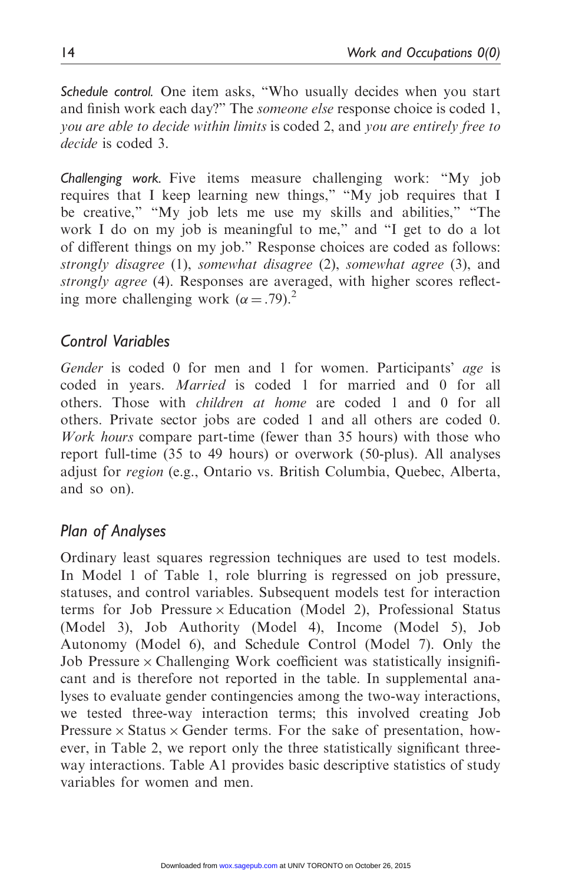Schedule control. One item asks, "Who usually decides when you start and finish work each day?" The someone else response choice is coded 1, you are able to decide within limits is coded 2, and you are entirely free to decide is coded 3.

Challenging work. Five items measure challenging work: "My job requires that I keep learning new things," "My job requires that I be creative," "My job lets me use my skills and abilities," "The work I do on my job is meaningful to me," and "I get to do a lot of different things on my job." Response choices are coded as follows: strongly disagree (1), somewhat disagree (2), somewhat agree (3), and strongly agree (4). Responses are averaged, with higher scores reflecting more challenging work  $(\alpha = .79)$ .<sup>2</sup>

#### Control Variables

Gender is coded 0 for men and 1 for women. Participants' age is coded in years. Married is coded 1 for married and 0 for all others. Those with children at home are coded 1 and 0 for all others. Private sector jobs are coded 1 and all others are coded 0. Work hours compare part-time (fewer than 35 hours) with those who report full-time (35 to 49 hours) or overwork (50-plus). All analyses adjust for region (e.g., Ontario vs. British Columbia, Quebec, Alberta, and so on).

# Plan of Analyses

Ordinary least squares regression techniques are used to test models. In Model 1 of Table 1, role blurring is regressed on job pressure, statuses, and control variables. Subsequent models test for interaction terms for Job Pressure  $\times$  Education (Model 2), Professional Status (Model 3), Job Authority (Model 4), Income (Model 5), Job Autonomy (Model 6), and Schedule Control (Model 7). Only the Job Pressure  $\times$  Challenging Work coefficient was statistically insignificant and is therefore not reported in the table. In supplemental analyses to evaluate gender contingencies among the two-way interactions, we tested three-way interaction terms; this involved creating Job Pressure  $\times$  Status  $\times$  Gender terms. For the sake of presentation, however, in Table 2, we report only the three statistically significant threeway interactions. Table A1 provides basic descriptive statistics of study variables for women and men.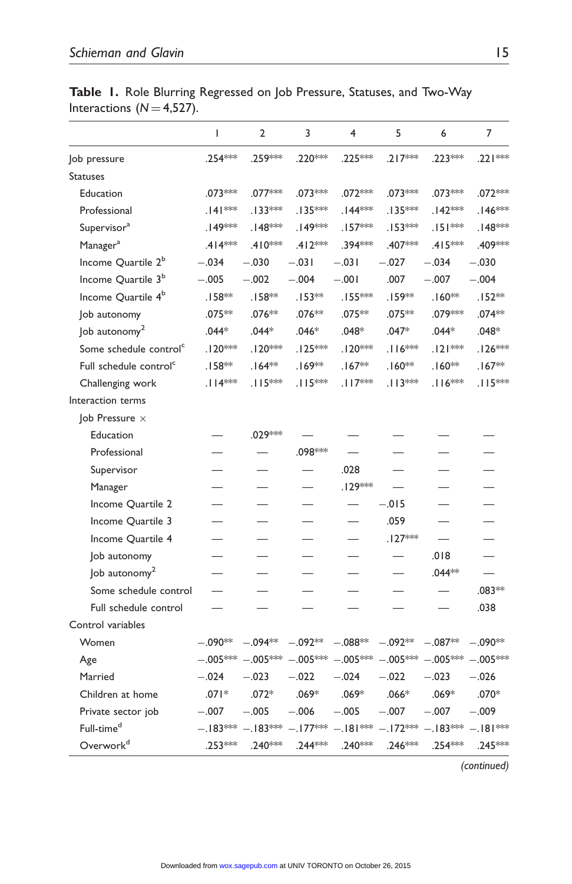|                                    | T                   | $\overline{2}$      | 3                                                   | 4                   | 5                         | 6                     | 7                    |
|------------------------------------|---------------------|---------------------|-----------------------------------------------------|---------------------|---------------------------|-----------------------|----------------------|
| Job pressure                       | .254***             | .259***             | .220***                                             | .225***             | $.217***$                 | .223***               | .221***              |
| Statuses                           |                     |                     |                                                     |                     |                           |                       |                      |
| Education                          | $.073***$           | $.077***$           | $.073***$                                           | .072***             | .073***                   | $.073***$             | .072***              |
| Professional                       | $.141***$           | $.133***$           | $.135***$                                           | .144 <sup>≉⇔⊳</sup> | .135 <sup>≉≉≉</sup>       | .142 <sup>≉≉⊭</sup>   | $.146***$            |
| Supervisor <sup>a</sup>            | .149 <sup>**</sup>  | .148 <sup>**</sup>  | .149 <sup>≉⇔⊳</sup>                                 | .157 <sup>**</sup>  | .153 <sup>≉≉≉</sup>       | $.151***$             | .148***              |
| Manager <sup>a</sup>               | $.414***$           | .410 <sup>***</sup> | $.412***$                                           | .394***             | .407***                   | .415 <sup>≉⇔⊵</sup>   | .409***              |
| Income Quartile 2 <sup>b</sup>     | $-.034$             | $-.030$             | $-.031$                                             | $-.031$             | $-.027$                   | $-.034$               | $-.030$              |
| Income Quartile 3 <sup>b</sup>     | $-.005$             | $-.002$             | $-.004$                                             | $-.001$             | .007                      | $-.007$               | $-.004$              |
| Income Quartile 4 <sup>b</sup>     | .158**              | .158**              | $.153***$                                           | $.155***$           | .159**                    | $.160**$              | $.152***$            |
| Job autonomy                       | .075**              | $.076**$            | $.076**$                                            | .075**              | .075**                    | .079***               | $.074**$             |
| Job autonomy <sup>2</sup>          | $.044*$             | $.044*$             | $.046*$                                             | $.048*$             | $.047*$                   | $.044*$               | $.048*$              |
| Some schedule control <sup>c</sup> | .120 <sup>***</sup> | .120 <sup>***</sup> | .125 ***                                            | .120 <sup>***</sup> | .II6 <sup>≉≉≉</sup>       | .121 <sup>≉⇔⊳</sup>   | .126 <sup>*≈≈</sup>  |
| Full schedule control <sup>c</sup> | $.158***$           | $.164**$            | .169**                                              | $.167**$            | .160 <sup>≉≉</sup>        | $.160**$              | $.167**$             |
| Challenging work                   | .∏4 <sup>***</sup>  | .II5 <sup>≉⇔⇔</sup> | $.115***$                                           | $.117***$           | $.113***$                 | .II6 <sup>≉⇔¦⇔k</sup> | .II5 <sup>≉⇔⊳k</sup> |
| Interaction terms                  |                     |                     |                                                     |                     |                           |                       |                      |
| Job Pressure $\times$              |                     |                     |                                                     |                     |                           |                       |                      |
| Education                          |                     | .029***             |                                                     |                     |                           |                       |                      |
| Professional                       |                     |                     | .098***                                             |                     |                           |                       |                      |
| Supervisor                         |                     |                     |                                                     | .028                |                           |                       |                      |
| Manager                            |                     |                     |                                                     | .129***             |                           |                       |                      |
| Income Quartile 2                  |                     |                     |                                                     |                     | $-.015$                   |                       |                      |
| Income Quartile 3                  |                     |                     |                                                     |                     | .059                      |                       |                      |
| Income Quartile 4                  |                     |                     |                                                     |                     | .127 <sup>≉≉≉</sup>       |                       |                      |
| Job autonomy                       |                     |                     |                                                     |                     |                           | .018                  |                      |
| Job autonomy <sup>2</sup>          |                     |                     |                                                     |                     |                           | $.044***$             |                      |
| Some schedule control              |                     |                     |                                                     |                     |                           |                       | $.083**$             |
| Full schedule control              |                     |                     |                                                     |                     |                           |                       | .038                 |
| Control variables                  |                     |                     |                                                     |                     |                           |                       |                      |
| Women                              | $-.090**$           | $-.094**$           | $-.092**$                                           | $-.088**$           | $-.092**$                 | $-.087**$             | $-.090**$            |
| Age                                | $-.005***$          |                     | $-.005***-.005***$                                  |                     | $-0.005$ *** $-0.005$ *** | $-.005***$            | $-.005***$           |
| Married                            | $-.024$             | $-.023$             | $-.022$                                             | $-.024$             | $-.022$                   | $-.023$               | $-.026$              |
| Children at home                   | $.071*$             | $.072*$             | $.069*$                                             | $.069*$             | $.066*$                   | $.069*$               | $.070*$              |
| Private sector job                 | $-.007$             | $-.005$             | $-.006$                                             | $-.005$             | $-.007$                   | $-.007$               | $-.009$              |
| Full-time <sup>d</sup>             | $-.183***$          |                     | $-183$ *** $-177$ ** $-181$ *** $-172$ ** $-183$ ** |                     |                           |                       | $-.181***$           |
| Overwork <sup>d</sup>              | .253***             | .240***             | $.244***$                                           | .240***             | $.246***$                 | .254***               | .245 ***             |

Table 1. Role Blurring Regressed on Job Pressure, Statuses, and Two-Way Interactions  $(N = 4,527)$ .

(continued)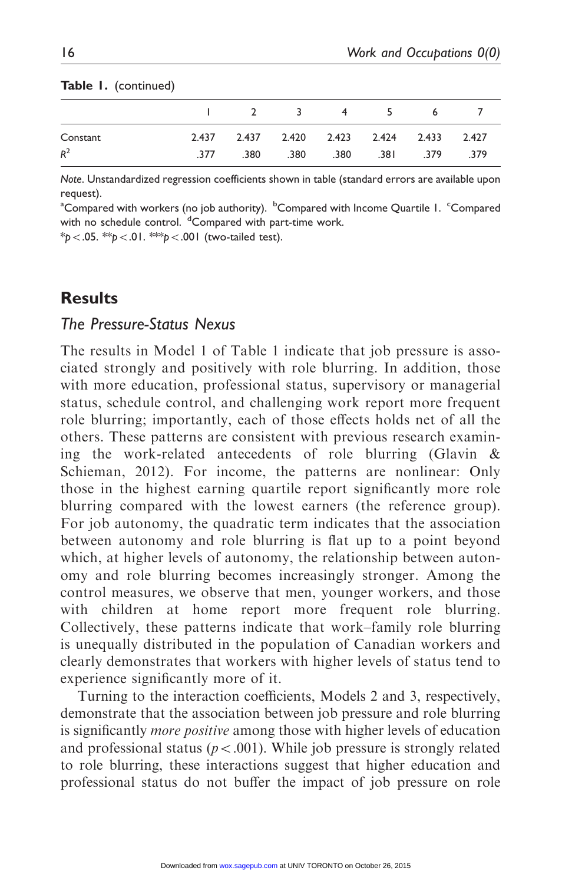| $\cdots$ |      |      |      |  |                                           |  |
|----------|------|------|------|--|-------------------------------------------|--|
|          |      |      |      |  | 1 2 3 4 5 6 7                             |  |
| Constant |      |      |      |  | 2.437 2.437 2.420 2.423 2.424 2.433 2.427 |  |
| $R^2$    | .377 | .380 | .380 |  | .380. .381. .379. .379                    |  |

#### Table 1. (continued)

Note. Unstandardized regression coefficients shown in table (standard errors are available upon request).

<sup>a</sup>Compared with workers (no job authority). <sup>b</sup>Compared with Income Quartile I. <sup>c</sup>Compared with no schedule control. <sup>d</sup>Compared with part-time work.

\*p <.05. \*\*p <.01. \*\*\*p <.001 (two-tailed test).

# Results

#### The Pressure-Status Nexus

The results in Model 1 of Table 1 indicate that job pressure is associated strongly and positively with role blurring. In addition, those with more education, professional status, supervisory or managerial status, schedule control, and challenging work report more frequent role blurring; importantly, each of those effects holds net of all the others. These patterns are consistent with previous research examining the work-related antecedents of role blurring (Glavin & Schieman, 2012). For income, the patterns are nonlinear: Only those in the highest earning quartile report significantly more role blurring compared with the lowest earners (the reference group). For job autonomy, the quadratic term indicates that the association between autonomy and role blurring is flat up to a point beyond which, at higher levels of autonomy, the relationship between autonomy and role blurring becomes increasingly stronger. Among the control measures, we observe that men, younger workers, and those with children at home report more frequent role blurring. Collectively, these patterns indicate that work–family role blurring is unequally distributed in the population of Canadian workers and clearly demonstrates that workers with higher levels of status tend to experience significantly more of it.

Turning to the interaction coefficients, Models 2 and 3, respectively, demonstrate that the association between job pressure and role blurring is significantly more positive among those with higher levels of education and professional status ( $p<.001$ ). While job pressure is strongly related to role blurring, these interactions suggest that higher education and professional status do not buffer the impact of job pressure on role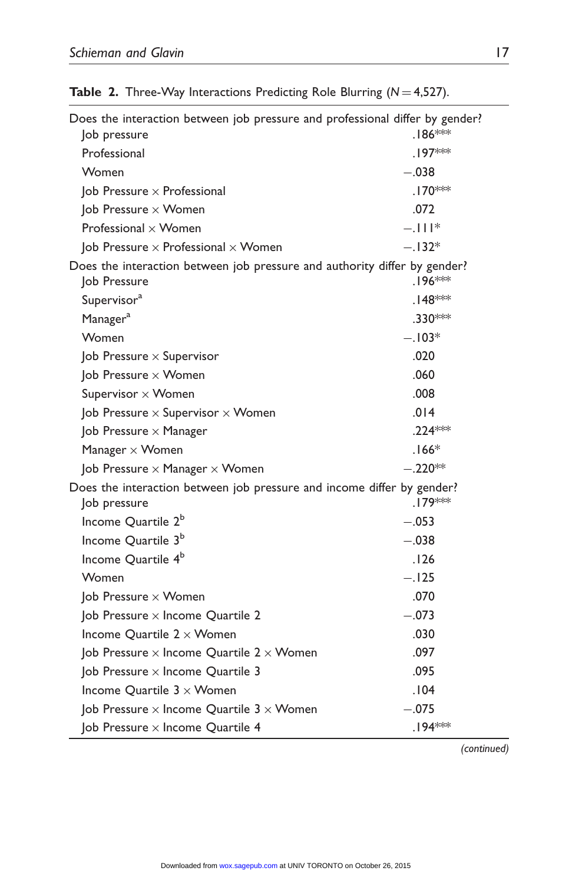| Does the interaction between job pressure and professional differ by gender?<br>Job pressure | .186 <sup>***</sup> |
|----------------------------------------------------------------------------------------------|---------------------|
| Professional                                                                                 | .197***             |
| Women                                                                                        | $-.038$             |
| Job Pressure $\times$ Professional                                                           | .170 <sup>***</sup> |
| Job Pressure x Women                                                                         | .072                |
| Professional $\times$ Women                                                                  | $-.111*$            |
| Job Pressure $\times$ Professional $\times$ Women                                            | $-.132*$            |
| Does the interaction between job pressure and authority differ by gender?<br>Job Pressure    | .196 <sup>≭⊳⊭</sup> |
| Supervisor <sup>a</sup>                                                                      | $.148***$           |
| Manager <sup>a</sup>                                                                         | .330***             |
| Women                                                                                        | $-.103*$            |
| Job Pressure $\times$ Supervisor                                                             | .020                |
| Job Pressure × Women                                                                         | .060                |
| Supervisor $\times$ Women                                                                    | .008                |
| Job Pressure $\times$ Supervisor $\times$ Women                                              | .014                |
| Job Pressure $\times$ Manager                                                                | $.224***$           |
| Manager × Women                                                                              | $.166*$             |
| Job Pressure $\times$ Manager $\times$ Women                                                 | $-.220**$           |
| Does the interaction between job pressure and income differ by gender?<br>Job pressure       | .179***             |
| Income Quartile 2 <sup>b</sup>                                                               | $-.053$             |
| Income Quartile 3 <sup>b</sup>                                                               | $-.038$             |
| Income Quartile 4 <sup>b</sup>                                                               | .126                |
| Women                                                                                        | $-.125$             |
| Job Pressure × Women                                                                         | .070                |
| Job Pressure $\times$ Income Quartile 2                                                      | $-.073$             |
| Income Quartile $2 \times$ Women                                                             | .030                |
| Job Pressure $\times$ Income Quartile 2 $\times$ Women                                       | .097                |
| Job Pressure $\times$ Income Quartile 3                                                      | .095                |
| Income Ouartile $3 \times$ Women                                                             | .104                |
| Job Pressure $\times$ Income Quartile 3 $\times$ Women                                       | $-.075$             |
| Job Pressure x Income Quartile 4                                                             | .194***             |

**Table 2.** Three-Way Interactions Predicting Role Blurring ( $N = 4,527$ ).

(continued)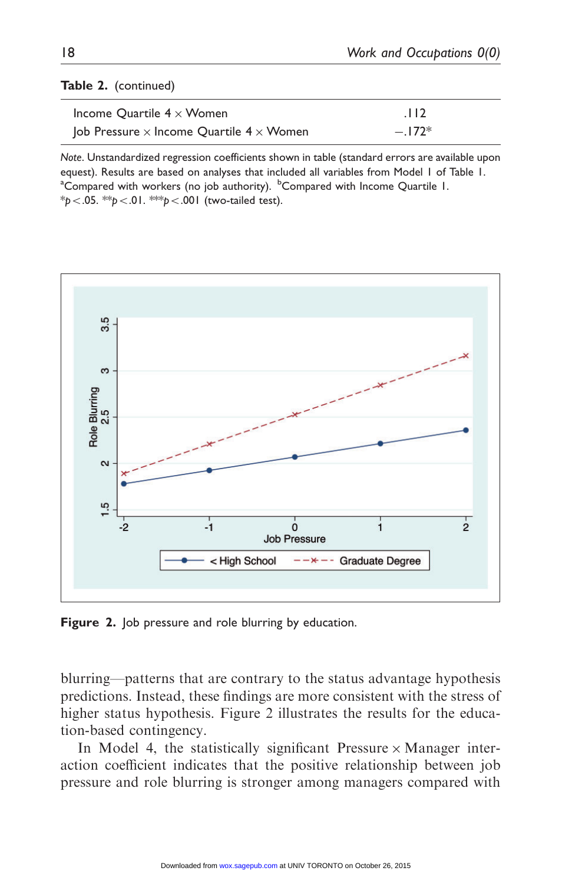#### Table 2. (continued)

| Income Quartile $4 \times$ Women                       | .112    |
|--------------------------------------------------------|---------|
| Job Pressure $\times$ Income Quartile $4 \times$ Women | $-172*$ |

Note. Unstandardized regression coefficients shown in table (standard errors are available upon equest). Results are based on analyses that included all variables from Model 1 of Table 1. <sup>a</sup>Compared with workers (no job authority). <sup>b</sup>Compared with Income Quartile 1. \*p <.05. \*\*p <.01. \*\*\*p <.001 (two-tailed test).



Figure 2. Job pressure and role blurring by education.

blurring—patterns that are contrary to the status advantage hypothesis predictions. Instead, these findings are more consistent with the stress of higher status hypothesis. Figure 2 illustrates the results for the education-based contingency.

In Model 4, the statistically significant Pressure  $\times$  Manager interaction coefficient indicates that the positive relationship between job pressure and role blurring is stronger among managers compared with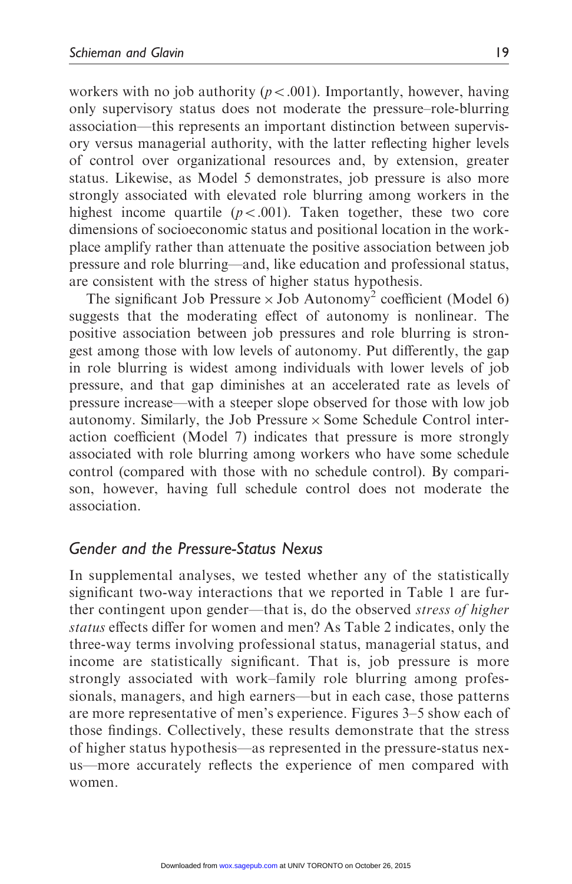workers with no job authority ( $p < .001$ ). Importantly, however, having only supervisory status does not moderate the pressure–role-blurring association—this represents an important distinction between supervisory versus managerial authority, with the latter reflecting higher levels of control over organizational resources and, by extension, greater status. Likewise, as Model 5 demonstrates, job pressure is also more strongly associated with elevated role blurring among workers in the highest income quartile  $(p<.001)$ . Taken together, these two core dimensions of socioeconomic status and positional location in the workplace amplify rather than attenuate the positive association between job pressure and role blurring—and, like education and professional status, are consistent with the stress of higher status hypothesis.

The significant Job Pressure  $\times$  Job Autonomy<sup>2</sup> coefficient (Model 6) suggests that the moderating effect of autonomy is nonlinear. The positive association between job pressures and role blurring is strongest among those with low levels of autonomy. Put differently, the gap in role blurring is widest among individuals with lower levels of job pressure, and that gap diminishes at an accelerated rate as levels of pressure increase—with a steeper slope observed for those with low job autonomy. Similarly, the Job Pressure  $\times$  Some Schedule Control interaction coefficient (Model 7) indicates that pressure is more strongly associated with role blurring among workers who have some schedule control (compared with those with no schedule control). By comparison, however, having full schedule control does not moderate the association.

# Gender and the Pressure-Status Nexus

In supplemental analyses, we tested whether any of the statistically significant two-way interactions that we reported in Table 1 are further contingent upon gender—that is, do the observed stress of higher status effects differ for women and men? As Table 2 indicates, only the three-way terms involving professional status, managerial status, and income are statistically significant. That is, job pressure is more strongly associated with work–family role blurring among professionals, managers, and high earners—but in each case, those patterns are more representative of men's experience. Figures 3–5 show each of those findings. Collectively, these results demonstrate that the stress of higher status hypothesis—as represented in the pressure-status nexus—more accurately reflects the experience of men compared with women.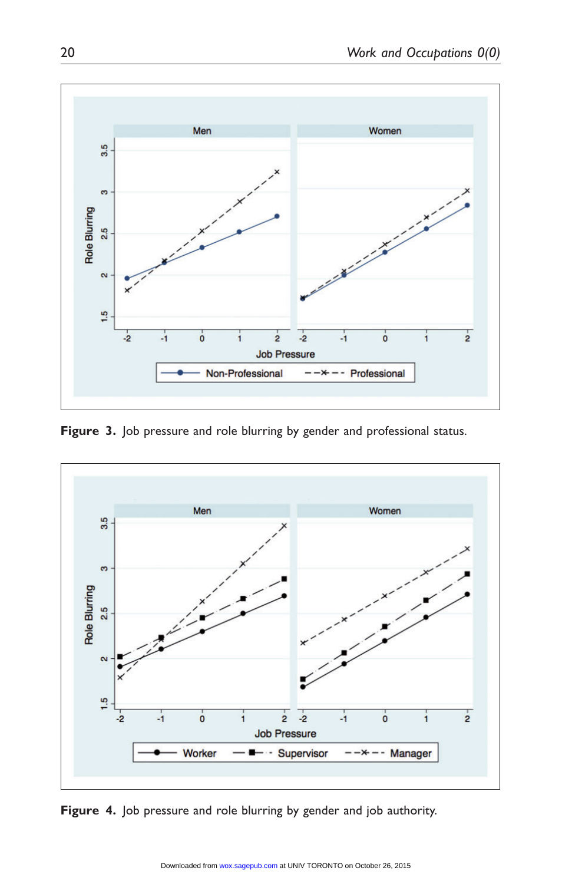

Figure 3. Job pressure and role blurring by gender and professional status.



Figure 4. Job pressure and role blurring by gender and job authority.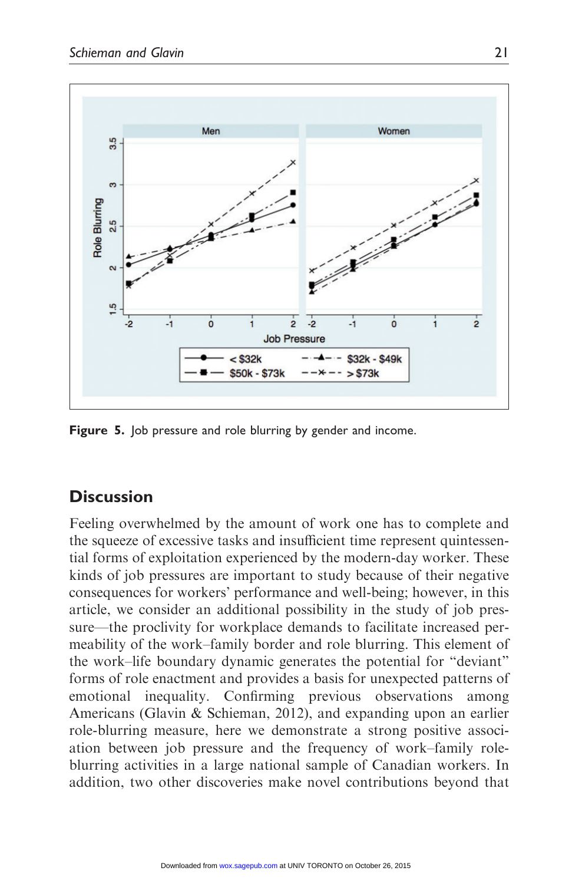

**Figure 5.** Job pressure and role blurring by gender and income.

# **Discussion**

Feeling overwhelmed by the amount of work one has to complete and the squeeze of excessive tasks and insufficient time represent quintessential forms of exploitation experienced by the modern-day worker. These kinds of job pressures are important to study because of their negative consequences for workers' performance and well-being; however, in this article, we consider an additional possibility in the study of job pressure—the proclivity for workplace demands to facilitate increased permeability of the work–family border and role blurring. This element of the work–life boundary dynamic generates the potential for "deviant" forms of role enactment and provides a basis for unexpected patterns of emotional inequality. Confirming previous observations among Americans (Glavin & Schieman, 2012), and expanding upon an earlier role-blurring measure, here we demonstrate a strong positive association between job pressure and the frequency of work–family roleblurring activities in a large national sample of Canadian workers. In addition, two other discoveries make novel contributions beyond that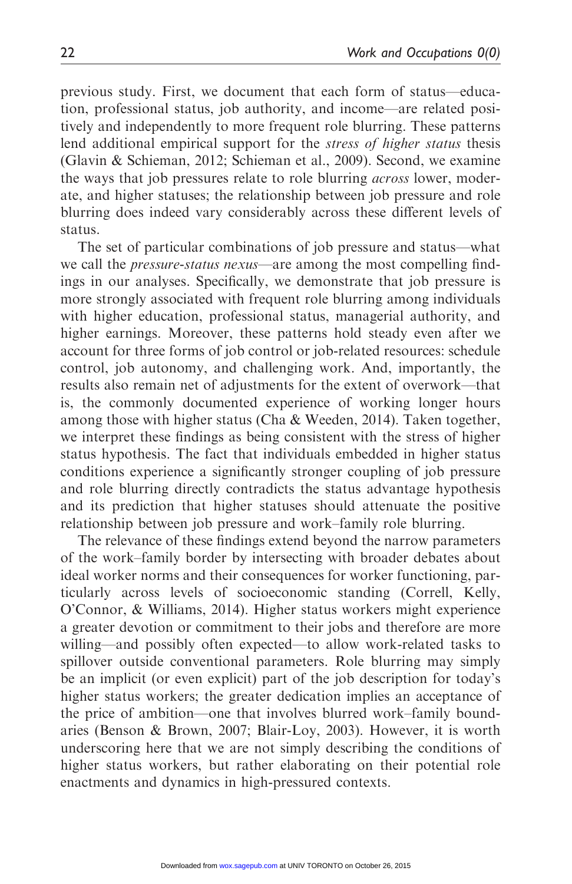previous study. First, we document that each form of status—education, professional status, job authority, and income—are related positively and independently to more frequent role blurring. These patterns lend additional empirical support for the *stress of higher status* thesis (Glavin & Schieman, 2012; Schieman et al., 2009). Second, we examine the ways that job pressures relate to role blurring *across* lower, moderate, and higher statuses; the relationship between job pressure and role blurring does indeed vary considerably across these different levels of status.

The set of particular combinations of job pressure and status—what we call the *pressure-status nexus*—are among the most compelling findings in our analyses. Specifically, we demonstrate that job pressure is more strongly associated with frequent role blurring among individuals with higher education, professional status, managerial authority, and higher earnings. Moreover, these patterns hold steady even after we account for three forms of job control or job-related resources: schedule control, job autonomy, and challenging work. And, importantly, the results also remain net of adjustments for the extent of overwork—that is, the commonly documented experience of working longer hours among those with higher status (Cha & Weeden, 2014). Taken together, we interpret these findings as being consistent with the stress of higher status hypothesis. The fact that individuals embedded in higher status conditions experience a significantly stronger coupling of job pressure and role blurring directly contradicts the status advantage hypothesis and its prediction that higher statuses should attenuate the positive relationship between job pressure and work–family role blurring.

The relevance of these findings extend beyond the narrow parameters of the work–family border by intersecting with broader debates about ideal worker norms and their consequences for worker functioning, particularly across levels of socioeconomic standing (Correll, Kelly, O'Connor, & Williams, 2014). Higher status workers might experience a greater devotion or commitment to their jobs and therefore are more willing—and possibly often expected—to allow work-related tasks to spillover outside conventional parameters. Role blurring may simply be an implicit (or even explicit) part of the job description for today's higher status workers; the greater dedication implies an acceptance of the price of ambition—one that involves blurred work–family boundaries (Benson & Brown, 2007; Blair-Loy, 2003). However, it is worth underscoring here that we are not simply describing the conditions of higher status workers, but rather elaborating on their potential role enactments and dynamics in high-pressured contexts.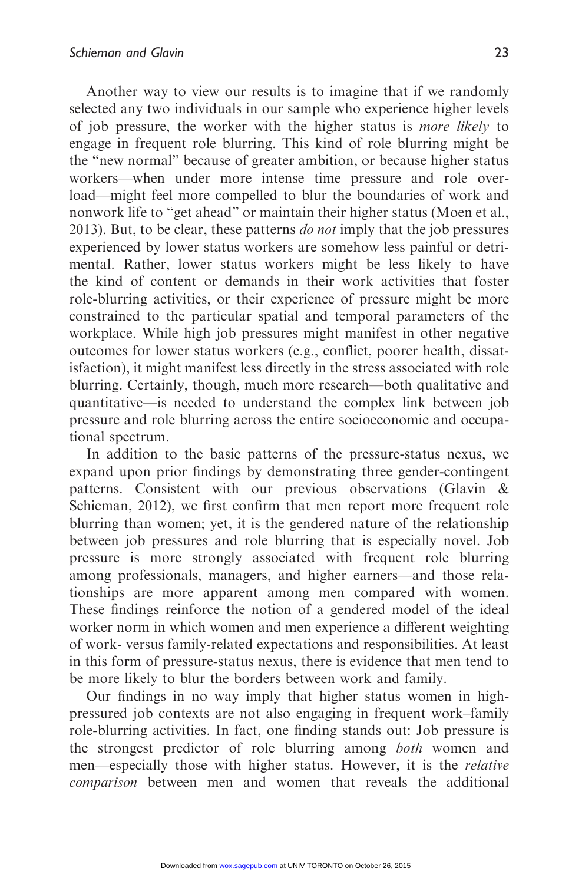Another way to view our results is to imagine that if we randomly selected any two individuals in our sample who experience higher levels of job pressure, the worker with the higher status is more likely to engage in frequent role blurring. This kind of role blurring might be the "new normal" because of greater ambition, or because higher status workers—when under more intense time pressure and role overload—might feel more compelled to blur the boundaries of work and nonwork life to "get ahead" or maintain their higher status (Moen et al., 2013). But, to be clear, these patterns do not imply that the job pressures experienced by lower status workers are somehow less painful or detrimental. Rather, lower status workers might be less likely to have the kind of content or demands in their work activities that foster role-blurring activities, or their experience of pressure might be more constrained to the particular spatial and temporal parameters of the workplace. While high job pressures might manifest in other negative outcomes for lower status workers (e.g., conflict, poorer health, dissatisfaction), it might manifest less directly in the stress associated with role blurring. Certainly, though, much more research—both qualitative and quantitative—is needed to understand the complex link between job pressure and role blurring across the entire socioeconomic and occupational spectrum.

In addition to the basic patterns of the pressure-status nexus, we expand upon prior findings by demonstrating three gender-contingent patterns. Consistent with our previous observations (Glavin & Schieman, 2012), we first confirm that men report more frequent role blurring than women; yet, it is the gendered nature of the relationship between job pressures and role blurring that is especially novel. Job pressure is more strongly associated with frequent role blurring among professionals, managers, and higher earners—and those relationships are more apparent among men compared with women. These findings reinforce the notion of a gendered model of the ideal worker norm in which women and men experience a different weighting of work- versus family-related expectations and responsibilities. At least in this form of pressure-status nexus, there is evidence that men tend to be more likely to blur the borders between work and family.

Our findings in no way imply that higher status women in highpressured job contexts are not also engaging in frequent work–family role-blurring activities. In fact, one finding stands out: Job pressure is the strongest predictor of role blurring among both women and men—especially those with higher status. However, it is the relative comparison between men and women that reveals the additional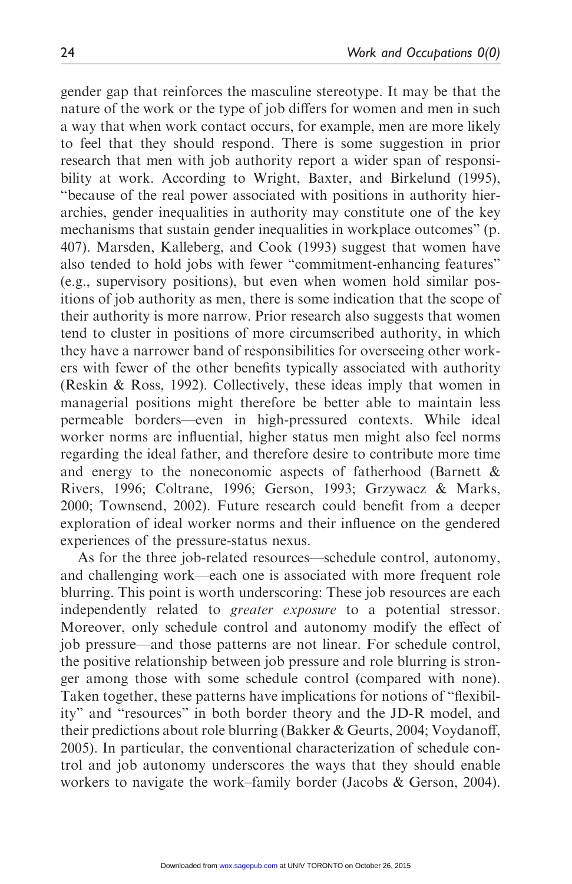gender gap that reinforces the masculine stereotype. It may be that the nature of the work or the type of job differs for women and men in such a way that when work contact occurs, for example, men are more likely to feel that they should respond. There is some suggestion in prior research that men with job authority report a wider span of responsibility at work. According to Wright, Baxter, and Birkelund (1995), "because of the real power associated with positions in authority hierarchies, gender inequalities in authority may constitute one of the key mechanisms that sustain gender inequalities in workplace outcomes" (p. 407). Marsden, Kalleberg, and Cook (1993) suggest that women have also tended to hold jobs with fewer "commitment-enhancing features" (e.g., supervisory positions), but even when women hold similar positions of job authority as men, there is some indication that the scope of their authority is more narrow. Prior research also suggests that women tend to cluster in positions of more circumscribed authority, in which they have a narrower band of responsibilities for overseeing other workers with fewer of the other benefits typically associated with authority (Reskin & Ross, 1992). Collectively, these ideas imply that women in managerial positions might therefore be better able to maintain less permeable borders—even in high-pressured contexts. While ideal worker norms are influential, higher status men might also feel norms regarding the ideal father, and therefore desire to contribute more time and energy to the noneconomic aspects of fatherhood (Barnett & Rivers, 1996; Coltrane, 1996; Gerson, 1993; Grzywacz & Marks, 2000; Townsend, 2002). Future research could benefit from a deeper exploration of ideal worker norms and their influence on the gendered experiences of the pressure-status nexus.

As for the three job-related resources—schedule control, autonomy, and challenging work—each one is associated with more frequent role blurring. This point is worth underscoring: These job resources are each independently related to greater exposure to a potential stressor. Moreover, only schedule control and autonomy modify the effect of job pressure—and those patterns are not linear. For schedule control, the positive relationship between job pressure and role blurring is stronger among those with some schedule control (compared with none). Taken together, these patterns have implications for notions of "flexibility" and "resources" in both border theory and the JD-R model, and their predictions about role blurring (Bakker & Geurts, 2004; Voydanoff, 2005). In particular, the conventional characterization of schedule control and job autonomy underscores the ways that they should enable workers to navigate the work–family border (Jacobs & Gerson, 2004).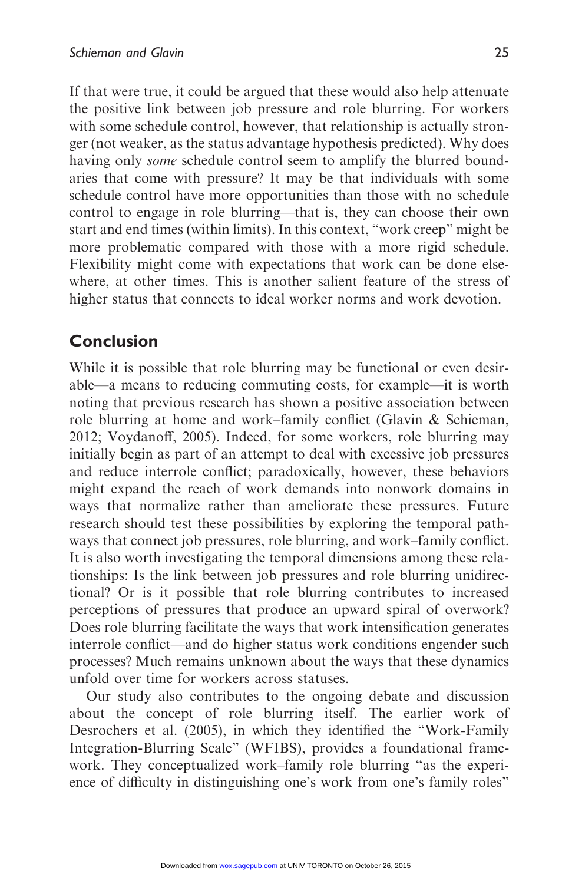If that were true, it could be argued that these would also help attenuate the positive link between job pressure and role blurring. For workers with some schedule control, however, that relationship is actually stronger (not weaker, as the status advantage hypothesis predicted). Why does having only *some* schedule control seem to amplify the blurred boundaries that come with pressure? It may be that individuals with some schedule control have more opportunities than those with no schedule control to engage in role blurring—that is, they can choose their own start and end times (within limits). In this context, "work creep" might be more problematic compared with those with a more rigid schedule. Flexibility might come with expectations that work can be done elsewhere, at other times. This is another salient feature of the stress of higher status that connects to ideal worker norms and work devotion.

# Conclusion

While it is possible that role blurring may be functional or even desirable—a means to reducing commuting costs, for example—it is worth noting that previous research has shown a positive association between role blurring at home and work–family conflict (Glavin & Schieman, 2012; Voydanoff, 2005). Indeed, for some workers, role blurring may initially begin as part of an attempt to deal with excessive job pressures and reduce interrole conflict; paradoxically, however, these behaviors might expand the reach of work demands into nonwork domains in ways that normalize rather than ameliorate these pressures. Future research should test these possibilities by exploring the temporal pathways that connect job pressures, role blurring, and work–family conflict. It is also worth investigating the temporal dimensions among these relationships: Is the link between job pressures and role blurring unidirectional? Or is it possible that role blurring contributes to increased perceptions of pressures that produce an upward spiral of overwork? Does role blurring facilitate the ways that work intensification generates interrole conflict—and do higher status work conditions engender such processes? Much remains unknown about the ways that these dynamics unfold over time for workers across statuses.

Our study also contributes to the ongoing debate and discussion about the concept of role blurring itself. The earlier work of Desrochers et al. (2005), in which they identified the "Work-Family Integration-Blurring Scale" (WFIBS), provides a foundational framework. They conceptualized work–family role blurring "as the experience of difficulty in distinguishing one's work from one's family roles"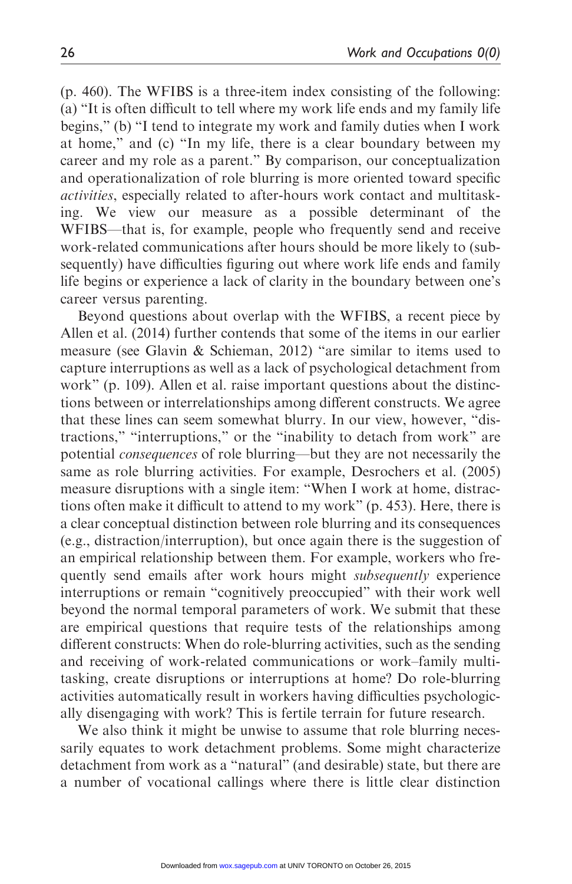(p. 460). The WFIBS is a three-item index consisting of the following: (a) "It is often difficult to tell where my work life ends and my family life begins," (b) "I tend to integrate my work and family duties when I work at home," and (c) "In my life, there is a clear boundary between my career and my role as a parent." By comparison, our conceptualization and operationalization of role blurring is more oriented toward specific activities, especially related to after-hours work contact and multitasking. We view our measure as a possible determinant of the WFIBS—that is, for example, people who frequently send and receive work-related communications after hours should be more likely to (subsequently) have difficulties figuring out where work life ends and family life begins or experience a lack of clarity in the boundary between one's career versus parenting.

Beyond questions about overlap with the WFIBS, a recent piece by Allen et al. (2014) further contends that some of the items in our earlier measure (see Glavin & Schieman, 2012) "are similar to items used to capture interruptions as well as a lack of psychological detachment from work" (p. 109). Allen et al. raise important questions about the distinctions between or interrelationships among different constructs. We agree that these lines can seem somewhat blurry. In our view, however, "distractions," "interruptions," or the "inability to detach from work" are potential consequences of role blurring—but they are not necessarily the same as role blurring activities. For example, Desrochers et al. (2005) measure disruptions with a single item: "When I work at home, distractions often make it difficult to attend to my work" (p. 453). Here, there is a clear conceptual distinction between role blurring and its consequences (e.g., distraction/interruption), but once again there is the suggestion of an empirical relationship between them. For example, workers who frequently send emails after work hours might *subsequently* experience interruptions or remain "cognitively preoccupied" with their work well beyond the normal temporal parameters of work. We submit that these are empirical questions that require tests of the relationships among different constructs: When do role-blurring activities, such as the sending and receiving of work-related communications or work–family multitasking, create disruptions or interruptions at home? Do role-blurring activities automatically result in workers having difficulties psychologically disengaging with work? This is fertile terrain for future research.

We also think it might be unwise to assume that role blurring necessarily equates to work detachment problems. Some might characterize detachment from work as a "natural" (and desirable) state, but there are a number of vocational callings where there is little clear distinction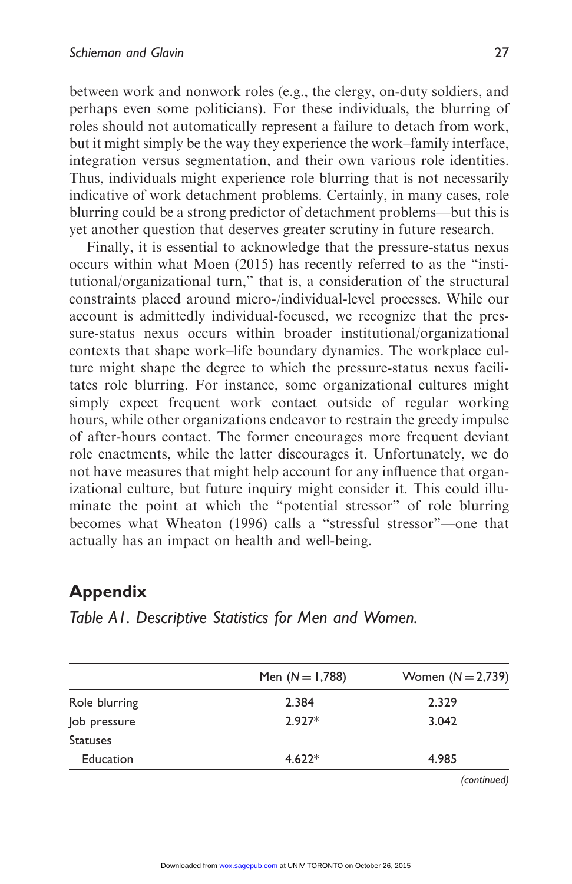between work and nonwork roles (e.g., the clergy, on-duty soldiers, and perhaps even some politicians). For these individuals, the blurring of roles should not automatically represent a failure to detach from work, but it might simply be the way they experience the work–family interface, integration versus segmentation, and their own various role identities. Thus, individuals might experience role blurring that is not necessarily indicative of work detachment problems. Certainly, in many cases, role blurring could be a strong predictor of detachment problems—but this is yet another question that deserves greater scrutiny in future research.

Finally, it is essential to acknowledge that the pressure-status nexus occurs within what Moen (2015) has recently referred to as the "institutional/organizational turn," that is, a consideration of the structural constraints placed around micro-/individual-level processes. While our account is admittedly individual-focused, we recognize that the pressure-status nexus occurs within broader institutional/organizational contexts that shape work–life boundary dynamics. The workplace culture might shape the degree to which the pressure-status nexus facilitates role blurring. For instance, some organizational cultures might simply expect frequent work contact outside of regular working hours, while other organizations endeavor to restrain the greedy impulse of after-hours contact. The former encourages more frequent deviant role enactments, while the latter discourages it. Unfortunately, we do not have measures that might help account for any influence that organizational culture, but future inquiry might consider it. This could illuminate the point at which the "potential stressor" of role blurring becomes what Wheaton (1996) calls a "stressful stressor"—one that actually has an impact on health and well-being.

# Appendix

|                 | Men $(N=1,788)$ | Women $(N = 2,739)$ |
|-----------------|-----------------|---------------------|
| Role blurring   | 2.384           | 2.329               |
| Job pressure    | $2.927*$        | 3.042               |
| <b>Statuses</b> |                 |                     |
| Education       | $4.622*$        | 4.985               |
|                 |                 |                     |

Table A1. Descriptive Statistics for Men and Women.

(continued)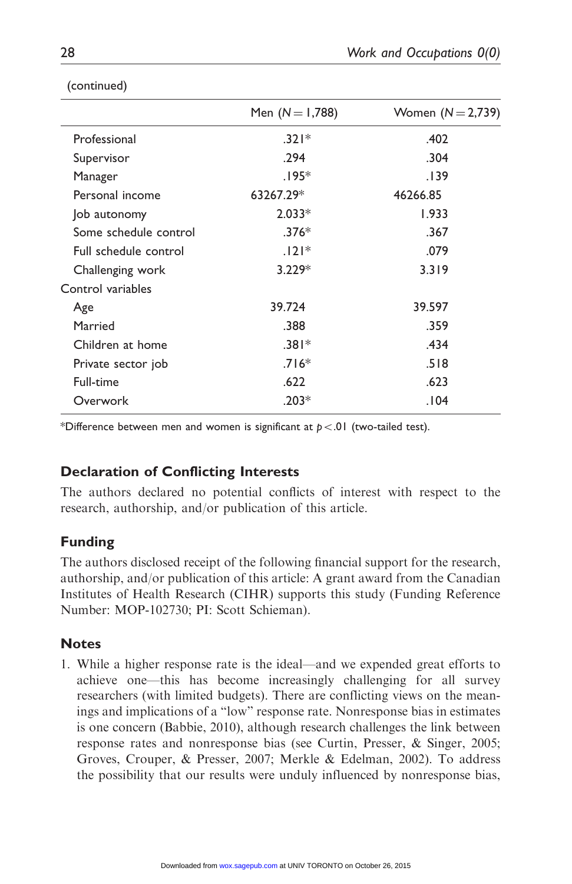|                       | Men $(N = 1,788)$ | Women $(N = 2,739)$ |
|-----------------------|-------------------|---------------------|
| Professional          | $.321*$           | .402                |
| Supervisor            | .294              | .304                |
| Manager               | $.195*$           | .139                |
| Personal income       | 63267.29*         | 46266.85            |
| Job autonomy          | $2.033*$          | 1.933               |
| Some schedule control | $.376*$           | .367                |
| Full schedule control | $.121*$           | .079                |
| Challenging work      | $3.229*$          | 3.319               |
| Control variables     |                   |                     |
| Age                   | 39.724            | 39.597              |
| Married               | .388              | .359                |
| Children at home      | $.381*$           | .434                |
| Private sector job    | $.716*$           | .518                |
| Full-time             | .622              | .623                |
| Overwork              | $.203*$           | .104                |
|                       |                   |                     |

(continued)

\*Difference between men and women is significant at  $p < 01$  (two-tailed test).

#### Declaration of Conflicting Interests

The authors declared no potential conflicts of interest with respect to the research, authorship, and/or publication of this article.

#### Funding

The authors disclosed receipt of the following financial support for the research, authorship, and/or publication of this article: A grant award from the Canadian Institutes of Health Research (CIHR) supports this study (Funding Reference Number: MOP-102730; PI: Scott Schieman).

#### **Notes**

1. While a higher response rate is the ideal—and we expended great efforts to achieve one—this has become increasingly challenging for all survey researchers (with limited budgets). There are conflicting views on the meanings and implications of a "low" response rate. Nonresponse bias in estimates is one concern (Babbie, 2010), although research challenges the link between response rates and nonresponse bias (see Curtin, Presser, & Singer, 2005; Groves, Crouper, & Presser, 2007; Merkle & Edelman, 2002). To address the possibility that our results were unduly influenced by nonresponse bias,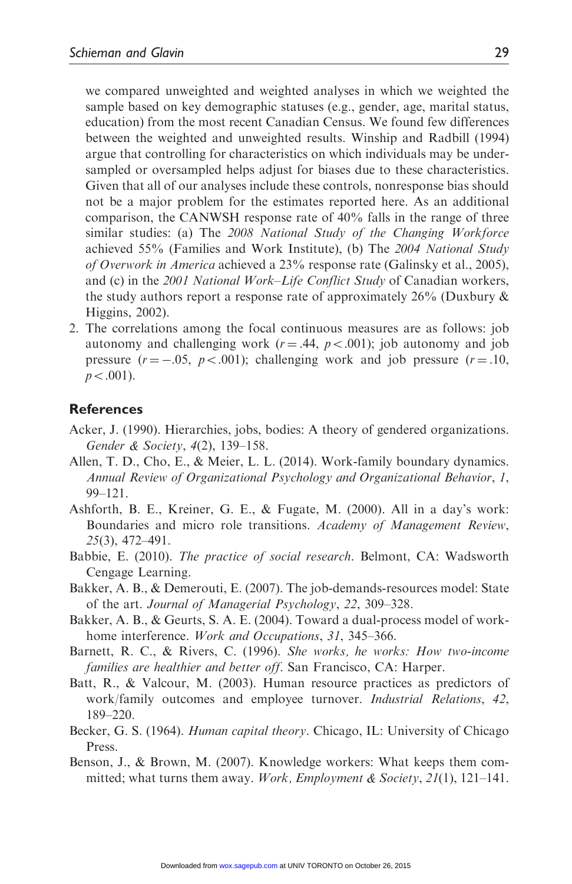we compared unweighted and weighted analyses in which we weighted the sample based on key demographic statuses (e.g., gender, age, marital status, education) from the most recent Canadian Census. We found few differences between the weighted and unweighted results. Winship and Radbill (1994) argue that controlling for characteristics on which individuals may be undersampled or oversampled helps adjust for biases due to these characteristics. Given that all of our analyses include these controls, nonresponse bias should not be a major problem for the estimates reported here. As an additional comparison, the CANWSH response rate of 40% falls in the range of three similar studies: (a) The 2008 National Study of the Changing Workforce achieved 55% (Families and Work Institute), (b) The 2004 National Study of Overwork in America achieved a 23% response rate (Galinsky et al., 2005), and (c) in the 2001 National Work–Life Conflict Study of Canadian workers, the study authors report a response rate of approximately 26% (Duxbury  $\&$ Higgins, 2002).

2. The correlations among the focal continuous measures are as follows: job autonomy and challenging work ( $r = .44$ ,  $p < .001$ ); job autonomy and job pressure  $(r = -.05, p < .001)$ ; challenging work and job pressure  $(r = .10,$  $p < .001$ ).

#### References

- Acker, J. (1990). Hierarchies, jobs, bodies: A theory of gendered organizations. Gender & Society, 4(2), 139–158.
- Allen, T. D., Cho, E., & Meier, L. L. (2014). Work-family boundary dynamics. Annual Review of Organizational Psychology and Organizational Behavior, 1, 99–121.
- Ashforth, B. E., Kreiner, G. E., & Fugate, M. (2000). All in a day's work: Boundaries and micro role transitions. Academy of Management Review, 25(3), 472–491.
- Babbie, E. (2010). The practice of social research. Belmont, CA: Wadsworth Cengage Learning.
- Bakker, A. B., & Demerouti, E. (2007). The job-demands-resources model: State of the art. Journal of Managerial Psychology, 22, 309–328.
- Bakker, A. B., & Geurts, S. A. E. (2004). Toward a dual-process model of workhome interference. Work and Occupations, 31, 345–366.
- Barnett, R. C., & Rivers, C. (1996). She works, he works: How two-income families are healthier and better off. San Francisco, CA: Harper.
- Batt, R., & Valcour, M. (2003). Human resource practices as predictors of work/family outcomes and employee turnover. Industrial Relations, 42, 189–220.
- Becker, G. S. (1964). Human capital theory. Chicago, IL: University of Chicago Press.
- Benson, J., & Brown, M. (2007). Knowledge workers: What keeps them committed; what turns them away. Work, Employment & Society, 21(1), 121–141.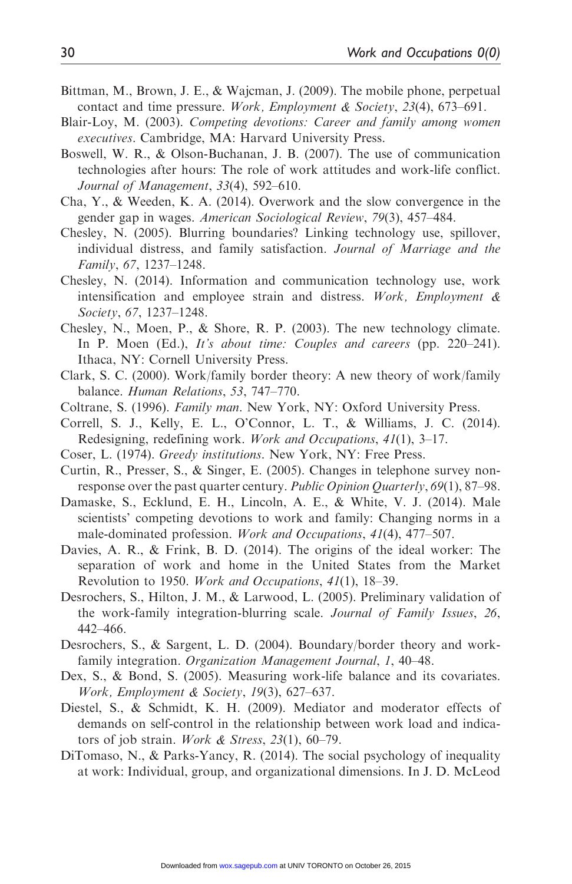- Bittman, M., Brown, J. E., & Wajcman, J. (2009). The mobile phone, perpetual contact and time pressure. Work, Employment & Society, 23(4), 673-691.
- Blair-Loy, M. (2003). Competing devotions: Career and family among women executives. Cambridge, MA: Harvard University Press.
- Boswell, W. R., & Olson-Buchanan, J. B. (2007). The use of communication technologies after hours: The role of work attitudes and work-life conflict. Journal of Management, 33(4), 592–610.
- Cha, Y., & Weeden, K. A. (2014). Overwork and the slow convergence in the gender gap in wages. American Sociological Review, 79(3), 457–484.
- Chesley, N. (2005). Blurring boundaries? Linking technology use, spillover, individual distress, and family satisfaction. Journal of Marriage and the Family, 67, 1237–1248.
- Chesley, N. (2014). Information and communication technology use, work intensification and employee strain and distress. Work, Employment  $\&$ Society, 67, 1237–1248.
- Chesley, N., Moen, P., & Shore, R. P. (2003). The new technology climate. In P. Moen (Ed.), It's about time: Couples and careers (pp. 220–241). Ithaca, NY: Cornell University Press.
- Clark, S. C. (2000). Work/family border theory: A new theory of work/family balance. Human Relations, 53, 747–770.
- Coltrane, S. (1996). Family man. New York, NY: Oxford University Press.
- Correll, S. J., Kelly, E. L., O'Connor, L. T., & Williams, J. C. (2014). Redesigning, redefining work. Work and Occupations, 41(1), 3–17.
- Coser, L. (1974). Greedy institutions. New York, NY: Free Press.
- Curtin, R., Presser, S., & Singer, E. (2005). Changes in telephone survey nonresponse over the past quarter century. *Public Opinion Quarterly*, 69(1), 87–98.
- Damaske, S., Ecklund, E. H., Lincoln, A. E., & White, V. J. (2014). Male scientists' competing devotions to work and family: Changing norms in a male-dominated profession. Work and Occupations, 41(4), 477–507.
- Davies, A. R., & Frink, B. D. (2014). The origins of the ideal worker: The separation of work and home in the United States from the Market Revolution to 1950. Work and Occupations, 41(1), 18–39.
- Desrochers, S., Hilton, J. M., & Larwood, L. (2005). Preliminary validation of the work-family integration-blurring scale. Journal of Family Issues, 26, 442–466.
- Desrochers, S., & Sargent, L. D. (2004). Boundary/border theory and workfamily integration. Organization Management Journal, 1, 40–48.
- Dex, S., & Bond, S. (2005). Measuring work-life balance and its covariates. Work, Employment & Society, 19(3), 627–637.
- Diestel, S., & Schmidt, K. H. (2009). Mediator and moderator effects of demands on self-control in the relationship between work load and indicators of job strain. Work & Stress,  $23(1)$ , 60–79.
- DiTomaso, N., & Parks-Yancy, R. (2014). The social psychology of inequality at work: Individual, group, and organizational dimensions. In J. D. McLeod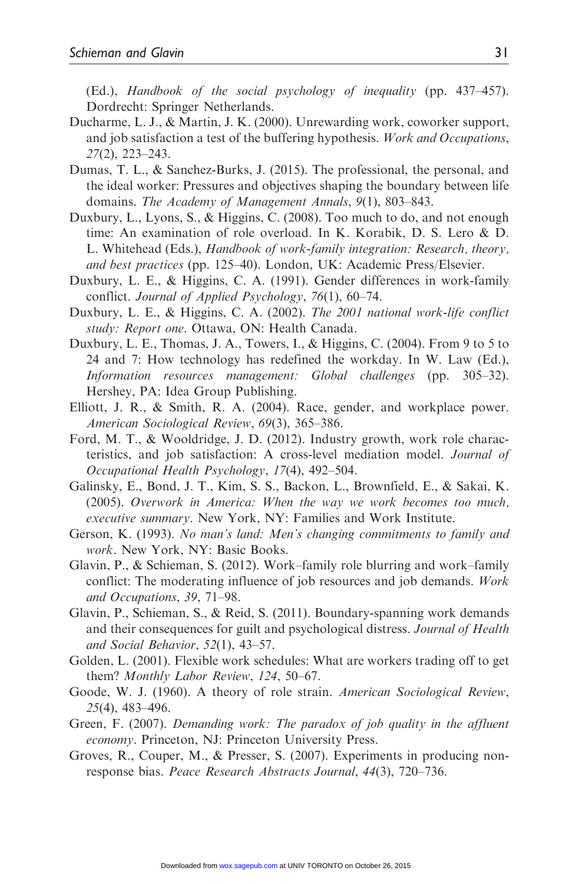(Ed.), Handbook of the social psychology of inequality (pp. 437–457). Dordrecht: Springer Netherlands.

- Ducharme, L. J., & Martin, J. K. (2000). Unrewarding work, coworker support, and job satisfaction a test of the buffering hypothesis. Work and Occupations, 27(2), 223–243.
- Dumas, T. L., & Sanchez-Burks, J. (2015). The professional, the personal, and the ideal worker: Pressures and objectives shaping the boundary between life domains. The Academy of Management Annals, 9(1), 803–843.
- Duxbury, L., Lyons, S., & Higgins, C. (2008). Too much to do, and not enough time: An examination of role overload. In K. Korabik, D. S. Lero & D. L. Whitehead (Eds.), Handbook of work-family integration: Research, theory, and best practices (pp. 125–40). London, UK: Academic Press/Elsevier.
- Duxbury, L. E., & Higgins, C. A. (1991). Gender differences in work-family conflict. Journal of Applied Psychology, 76(1), 60–74.
- Duxbury, L. E., & Higgins, C. A. (2002). The 2001 national work-life conflict study: Report one. Ottawa, ON: Health Canada.
- Duxbury, L. E., Thomas, J. A., Towers, I., & Higgins, C. (2004). From 9 to 5 to 24 and 7: How technology has redefined the workday. In W. Law (Ed.), Information resources management: Global challenges (pp. 305–32). Hershey, PA: Idea Group Publishing.
- Elliott, J. R., & Smith, R. A. (2004). Race, gender, and workplace power. American Sociological Review, 69(3), 365–386.
- Ford, M. T., & Wooldridge, J. D. (2012). Industry growth, work role characteristics, and job satisfaction: A cross-level mediation model. Journal of Occupational Health Psychology, 17(4), 492–504.
- Galinsky, E., Bond, J. T., Kim, S. S., Backon, L., Brownfield, E., & Sakai, K. (2005). Overwork in America: When the way we work becomes too much, executive summary. New York, NY: Families and Work Institute.
- Gerson, K. (1993). No man's land: Men's changing commitments to family and work. New York, NY: Basic Books.
- Glavin, P., & Schieman, S. (2012). Work–family role blurring and work–family conflict: The moderating influence of job resources and job demands. Work and Occupations, 39, 71–98.
- Glavin, P., Schieman, S., & Reid, S. (2011). Boundary-spanning work demands and their consequences for guilt and psychological distress. Journal of Health and Social Behavior, 52(1), 43–57.
- Golden, L. (2001). Flexible work schedules: What are workers trading off to get them? Monthly Labor Review, 124, 50-67.
- Goode, W. J. (1960). A theory of role strain. American Sociological Review, 25(4), 483–496.
- Green, F. (2007). Demanding work: The paradox of job quality in the affluent economy. Princeton, NJ: Princeton University Press.
- Groves, R., Couper, M., & Presser, S. (2007). Experiments in producing nonresponse bias. Peace Research Abstracts Journal, 44(3), 720–736.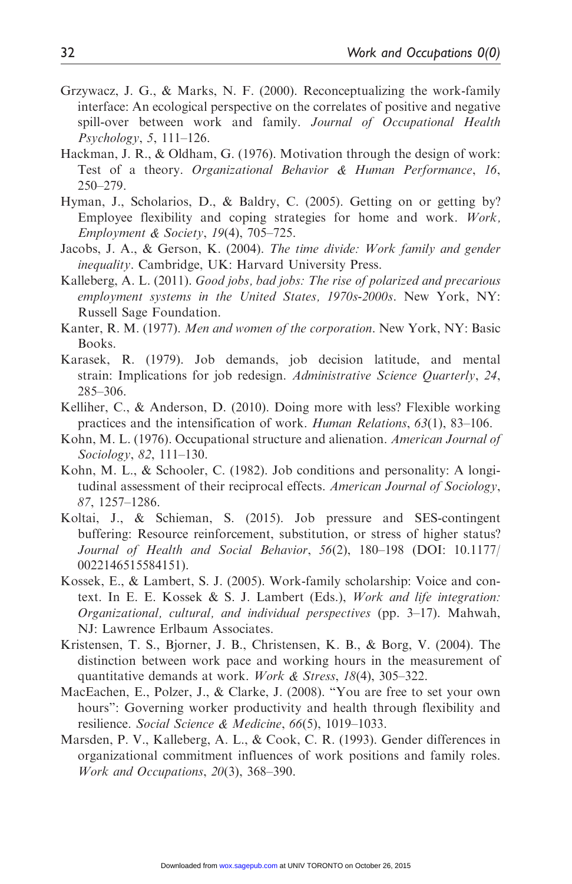- Grzywacz, J. G., & Marks, N. F. (2000). Reconceptualizing the work-family interface: An ecological perspective on the correlates of positive and negative spill-over between work and family. Journal of Occupational Health Psychology, 5, 111–126.
- Hackman, J. R., & Oldham, G. (1976). Motivation through the design of work: Test of a theory. Organizational Behavior & Human Performance, 16, 250–279.
- Hyman, J., Scholarios, D., & Baldry, C. (2005). Getting on or getting by? Employee flexibility and coping strategies for home and work. Work, Employment & Society, 19(4), 705–725.
- Jacobs, J. A., & Gerson, K. (2004). The time divide: Work family and gender inequality. Cambridge, UK: Harvard University Press.
- Kalleberg, A. L. (2011). Good jobs, bad jobs: The rise of polarized and precarious employment systems in the United States, 1970s-2000s. New York, NY: Russell Sage Foundation.
- Kanter, R. M. (1977). Men and women of the corporation. New York, NY: Basic Books.
- Karasek, R. (1979). Job demands, job decision latitude, and mental strain: Implications for job redesign. Administrative Science Quarterly, 24, 285–306.
- Kelliher, C., & Anderson, D. (2010). Doing more with less? Flexible working practices and the intensification of work. Human Relations, 63(1), 83–106.
- Kohn, M. L. (1976). Occupational structure and alienation. American Journal of Sociology, 82, 111–130.
- Kohn, M. L., & Schooler, C. (1982). Job conditions and personality: A longitudinal assessment of their reciprocal effects. American Journal of Sociology, 87, 1257–1286.
- Koltai, J., & Schieman, S. (2015). Job pressure and SES-contingent buffering: Resource reinforcement, substitution, or stress of higher status? Journal of Health and Social Behavior, 56(2), 180–198 (DOI: 10.1177/ 0022146515584151).
- Kossek, E., & Lambert, S. J. (2005). Work-family scholarship: Voice and context. In E. E. Kossek & S. J. Lambert (Eds.), Work and life integration: Organizational, cultural, and individual perspectives (pp. 3–17). Mahwah, NJ: Lawrence Erlbaum Associates.
- Kristensen, T. S., Bjorner, J. B., Christensen, K. B., & Borg, V. (2004). The distinction between work pace and working hours in the measurement of quantitative demands at work. Work & Stress, 18(4), 305–322.
- MacEachen, E., Polzer, J., & Clarke, J. (2008). "You are free to set your own hours": Governing worker productivity and health through flexibility and resilience. Social Science & Medicine, 66(5), 1019–1033.
- Marsden, P. V., Kalleberg, A. L., & Cook, C. R. (1993). Gender differences in organizational commitment influences of work positions and family roles. Work and Occupations, 20(3), 368–390.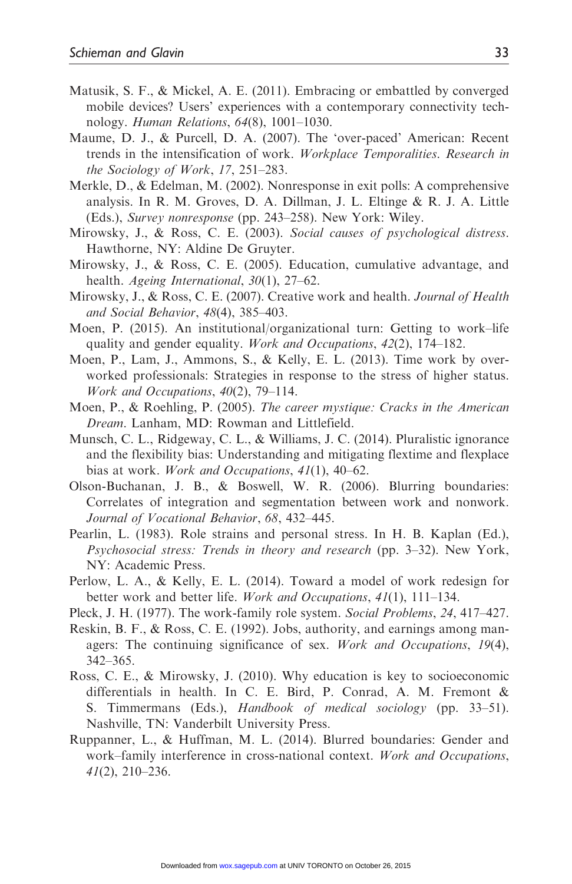- Matusik, S. F., & Mickel, A. E. (2011). Embracing or embattled by converged mobile devices? Users' experiences with a contemporary connectivity technology. Human Relations, 64(8), 1001–1030.
- Maume, D. J., & Purcell, D. A. (2007). The 'over-paced' American: Recent trends in the intensification of work. Workplace Temporalities. Research in the Sociology of Work, 17, 251–283.
- Merkle, D., & Edelman, M. (2002). Nonresponse in exit polls: A comprehensive analysis. In R. M. Groves, D. A. Dillman, J. L. Eltinge & R. J. A. Little (Eds.), Survey nonresponse (pp. 243–258). New York: Wiley.
- Mirowsky, J., & Ross, C. E. (2003). Social causes of psychological distress. Hawthorne, NY: Aldine De Gruyter.
- Mirowsky, J., & Ross, C. E. (2005). Education, cumulative advantage, and health. Ageing International, 30(1), 27–62.
- Mirowsky, J., & Ross, C. E. (2007). Creative work and health. Journal of Health and Social Behavior, 48(4), 385–403.
- Moen, P. (2015). An institutional/organizational turn: Getting to work–life quality and gender equality. Work and Occupations, 42(2), 174–182.
- Moen, P., Lam, J., Ammons, S., & Kelly, E. L. (2013). Time work by overworked professionals: Strategies in response to the stress of higher status. Work and Occupations, 40(2), 79–114.
- Moen, P., & Roehling, P. (2005). The career mystique: Cracks in the American Dream. Lanham, MD: Rowman and Littlefield.
- Munsch, C. L., Ridgeway, C. L., & Williams, J. C. (2014). Pluralistic ignorance and the flexibility bias: Understanding and mitigating flextime and flexplace bias at work. Work and Occupations, 41(1), 40–62.
- Olson-Buchanan, J. B., & Boswell, W. R. (2006). Blurring boundaries: Correlates of integration and segmentation between work and nonwork. Journal of Vocational Behavior, 68, 432–445.
- Pearlin, L. (1983). Role strains and personal stress. In H. B. Kaplan (Ed.), Psychosocial stress: Trends in theory and research (pp. 3-32). New York, NY: Academic Press.
- Perlow, L. A., & Kelly, E. L. (2014). Toward a model of work redesign for better work and better life. *Work and Occupations*, 41(1), 111–134.
- Pleck, J. H. (1977). The work-family role system. Social Problems, 24, 417–427.
- Reskin, B. F., & Ross, C. E. (1992). Jobs, authority, and earnings among managers: The continuing significance of sex. Work and Occupations, 19(4), 342–365.
- Ross, C. E., & Mirowsky, J. (2010). Why education is key to socioeconomic differentials in health. In C. E. Bird, P. Conrad, A. M. Fremont & S. Timmermans (Eds.), Handbook of medical sociology (pp. 33–51). Nashville, TN: Vanderbilt University Press.
- Ruppanner, L., & Huffman, M. L. (2014). Blurred boundaries: Gender and work–family interference in cross-national context. Work and Occupations, 41(2), 210–236.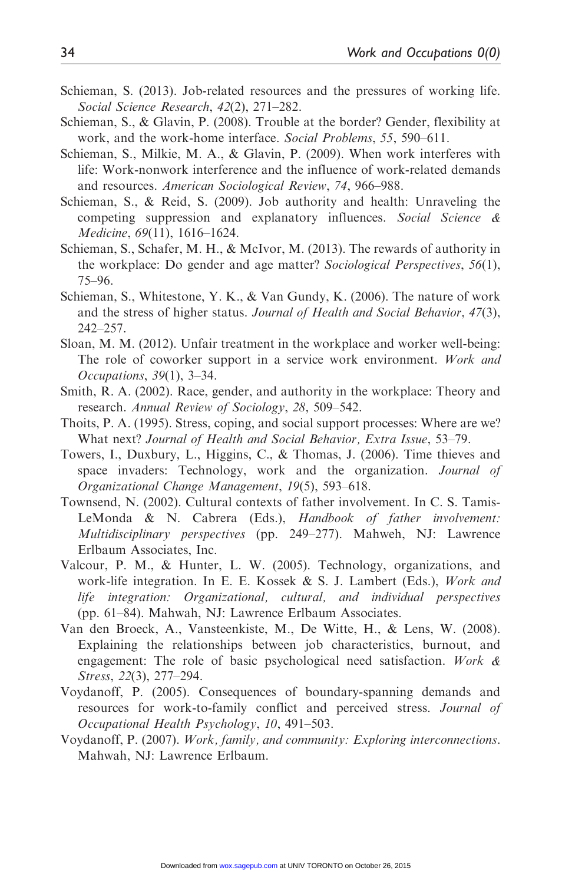- Schieman, S. (2013). Job-related resources and the pressures of working life. Social Science Research, 42(2), 271–282.
- Schieman, S., & Glavin, P. (2008). Trouble at the border? Gender, flexibility at work, and the work-home interface. Social Problems, 55, 590–611.
- Schieman, S., Milkie, M. A., & Glavin, P. (2009). When work interferes with life: Work-nonwork interference and the influence of work-related demands and resources. American Sociological Review, 74, 966–988.
- Schieman, S., & Reid, S. (2009). Job authority and health: Unraveling the competing suppression and explanatory influences. Social Science & Medicine, 69(11), 1616–1624.
- Schieman, S., Schafer, M. H., & McIvor, M. (2013). The rewards of authority in the workplace: Do gender and age matter? Sociological Perspectives, 56(1), 75–96.
- Schieman, S., Whitestone, Y. K., & Van Gundy, K. (2006). The nature of work and the stress of higher status. Journal of Health and Social Behavior, 47(3), 242–257.
- Sloan, M. M. (2012). Unfair treatment in the workplace and worker well-being: The role of coworker support in a service work environment. Work and Occupations, 39(1), 3–34.
- Smith, R. A. (2002). Race, gender, and authority in the workplace: Theory and research. Annual Review of Sociology, 28, 509–542.
- Thoits, P. A. (1995). Stress, coping, and social support processes: Where are we? What next? Journal of Health and Social Behavior, Extra Issue, 53–79.
- Towers, I., Duxbury, L., Higgins, C., & Thomas, J. (2006). Time thieves and space invaders: Technology, work and the organization. Journal of Organizational Change Management, 19(5), 593–618.
- Townsend, N. (2002). Cultural contexts of father involvement. In C. S. Tamis-LeMonda & N. Cabrera (Eds.), Handbook of father involvement: Multidisciplinary perspectives (pp. 249–277). Mahweh, NJ: Lawrence Erlbaum Associates, Inc.
- Valcour, P. M., & Hunter, L. W. (2005). Technology, organizations, and work-life integration. In E. E. Kossek & S. J. Lambert (Eds.), Work and life integration: Organizational, cultural, and individual perspectives (pp. 61–84). Mahwah, NJ: Lawrence Erlbaum Associates.
- Van den Broeck, A., Vansteenkiste, M., De Witte, H., & Lens, W. (2008). Explaining the relationships between job characteristics, burnout, and engagement: The role of basic psychological need satisfaction. Work  $\&$ Stress, 22(3), 277–294.
- Voydanoff, P. (2005). Consequences of boundary-spanning demands and resources for work-to-family conflict and perceived stress. Journal of Occupational Health Psychology, 10, 491–503.
- Voydanoff, P. (2007). Work, family, and community: Exploring interconnections. Mahwah, NJ: Lawrence Erlbaum.